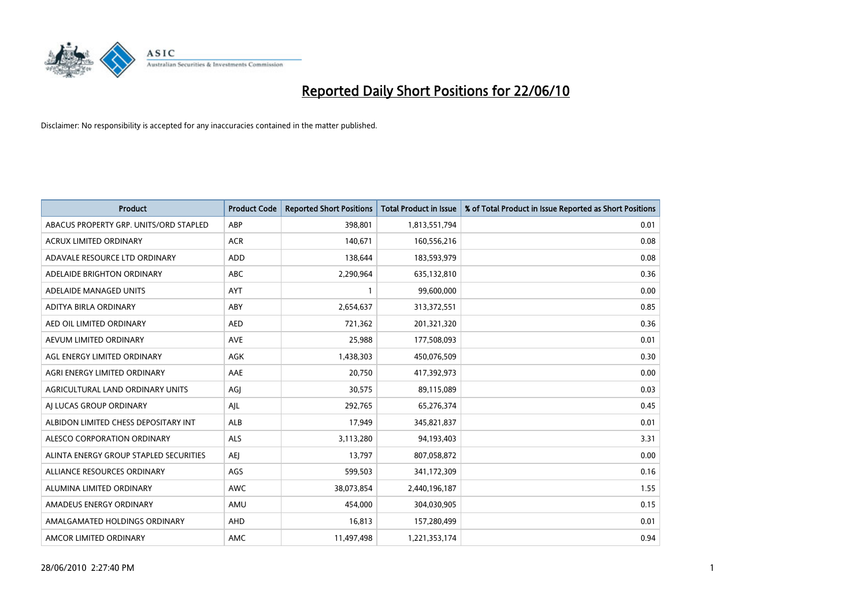

| <b>Product</b>                         | <b>Product Code</b> | <b>Reported Short Positions</b> | <b>Total Product in Issue</b> | % of Total Product in Issue Reported as Short Positions |
|----------------------------------------|---------------------|---------------------------------|-------------------------------|---------------------------------------------------------|
| ABACUS PROPERTY GRP. UNITS/ORD STAPLED | ABP                 | 398,801                         | 1,813,551,794                 | 0.01                                                    |
| ACRUX LIMITED ORDINARY                 | <b>ACR</b>          | 140,671                         | 160,556,216                   | 0.08                                                    |
| ADAVALE RESOURCE LTD ORDINARY          | ADD                 | 138,644                         | 183,593,979                   | 0.08                                                    |
| ADELAIDE BRIGHTON ORDINARY             | <b>ABC</b>          | 2,290,964                       | 635,132,810                   | 0.36                                                    |
| ADELAIDE MANAGED UNITS                 | <b>AYT</b>          |                                 | 99,600,000                    | 0.00                                                    |
| ADITYA BIRLA ORDINARY                  | ABY                 | 2,654,637                       | 313,372,551                   | 0.85                                                    |
| AED OIL LIMITED ORDINARY               | <b>AED</b>          | 721,362                         | 201,321,320                   | 0.36                                                    |
| AEVUM LIMITED ORDINARY                 | <b>AVE</b>          | 25,988                          | 177,508,093                   | 0.01                                                    |
| AGL ENERGY LIMITED ORDINARY            | AGK                 | 1,438,303                       | 450,076,509                   | 0.30                                                    |
| AGRI ENERGY LIMITED ORDINARY           | AAE                 | 20,750                          | 417,392,973                   | 0.00                                                    |
| AGRICULTURAL LAND ORDINARY UNITS       | AGJ                 | 30,575                          | 89,115,089                    | 0.03                                                    |
| AI LUCAS GROUP ORDINARY                | AJL                 | 292,765                         | 65,276,374                    | 0.45                                                    |
| ALBIDON LIMITED CHESS DEPOSITARY INT   | ALB                 | 17,949                          | 345,821,837                   | 0.01                                                    |
| ALESCO CORPORATION ORDINARY            | ALS                 | 3,113,280                       | 94,193,403                    | 3.31                                                    |
| ALINTA ENERGY GROUP STAPLED SECURITIES | <b>AEI</b>          | 13,797                          | 807,058,872                   | 0.00                                                    |
| ALLIANCE RESOURCES ORDINARY            | AGS                 | 599,503                         | 341,172,309                   | 0.16                                                    |
| ALUMINA LIMITED ORDINARY               | <b>AWC</b>          | 38,073,854                      | 2,440,196,187                 | 1.55                                                    |
| AMADEUS ENERGY ORDINARY                | AMU                 | 454,000                         | 304,030,905                   | 0.15                                                    |
| AMALGAMATED HOLDINGS ORDINARY          | AHD                 | 16,813                          | 157,280,499                   | 0.01                                                    |
| AMCOR LIMITED ORDINARY                 | AMC                 | 11,497,498                      | 1,221,353,174                 | 0.94                                                    |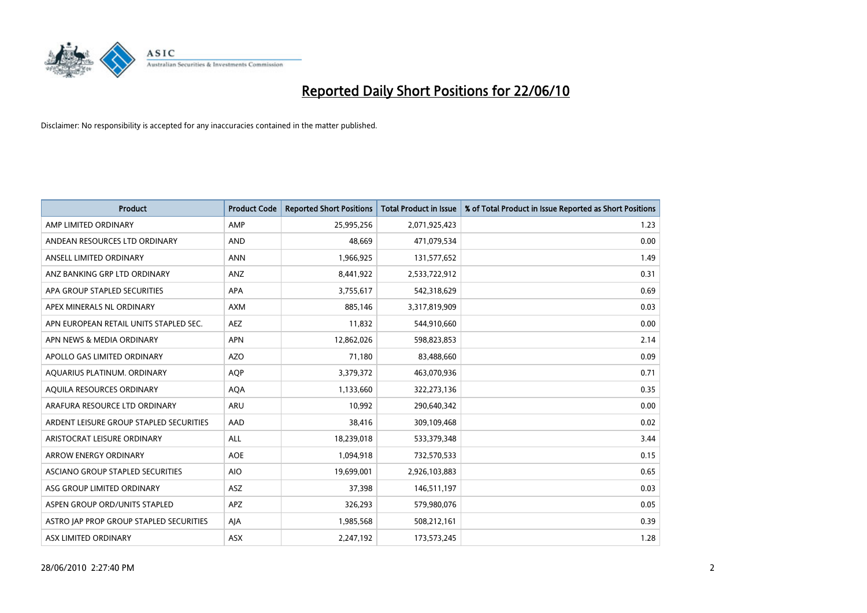

| <b>Product</b>                          | <b>Product Code</b> | <b>Reported Short Positions</b> | Total Product in Issue | % of Total Product in Issue Reported as Short Positions |
|-----------------------------------------|---------------------|---------------------------------|------------------------|---------------------------------------------------------|
| AMP LIMITED ORDINARY                    | AMP                 | 25,995,256                      | 2,071,925,423          | 1.23                                                    |
| ANDEAN RESOURCES LTD ORDINARY           | <b>AND</b>          | 48.669                          | 471,079,534            | 0.00                                                    |
| ANSELL LIMITED ORDINARY                 | <b>ANN</b>          | 1,966,925                       | 131,577,652            | 1.49                                                    |
| ANZ BANKING GRP LTD ORDINARY            | ANZ                 | 8,441,922                       | 2,533,722,912          | 0.31                                                    |
| APA GROUP STAPLED SECURITIES            | <b>APA</b>          | 3,755,617                       | 542,318,629            | 0.69                                                    |
| APEX MINERALS NL ORDINARY               | <b>AXM</b>          | 885,146                         | 3,317,819,909          | 0.03                                                    |
| APN EUROPEAN RETAIL UNITS STAPLED SEC.  | <b>AEZ</b>          | 11,832                          | 544,910,660            | 0.00                                                    |
| APN NEWS & MEDIA ORDINARY               | <b>APN</b>          | 12,862,026                      | 598,823,853            | 2.14                                                    |
| APOLLO GAS LIMITED ORDINARY             | <b>AZO</b>          | 71,180                          | 83,488,660             | 0.09                                                    |
| AOUARIUS PLATINUM. ORDINARY             | <b>AOP</b>          | 3,379,372                       | 463,070,936            | 0.71                                                    |
| AQUILA RESOURCES ORDINARY               | AQA                 | 1,133,660                       | 322,273,136            | 0.35                                                    |
| ARAFURA RESOURCE LTD ORDINARY           | ARU                 | 10,992                          | 290,640,342            | 0.00                                                    |
| ARDENT LEISURE GROUP STAPLED SECURITIES | AAD                 | 38.416                          | 309,109,468            | 0.02                                                    |
| ARISTOCRAT LEISURE ORDINARY             | <b>ALL</b>          | 18,239,018                      | 533,379,348            | 3.44                                                    |
| ARROW ENERGY ORDINARY                   | <b>AOE</b>          | 1,094,918                       | 732,570,533            | 0.15                                                    |
| ASCIANO GROUP STAPLED SECURITIES        | <b>AIO</b>          | 19,699,001                      | 2,926,103,883          | 0.65                                                    |
| ASG GROUP LIMITED ORDINARY              | <b>ASZ</b>          | 37,398                          | 146,511,197            | 0.03                                                    |
| ASPEN GROUP ORD/UNITS STAPLED           | <b>APZ</b>          | 326,293                         | 579,980,076            | 0.05                                                    |
| ASTRO JAP PROP GROUP STAPLED SECURITIES | AJA                 | 1,985,568                       | 508,212,161            | 0.39                                                    |
| <b>ASX LIMITED ORDINARY</b>             | <b>ASX</b>          | 2,247,192                       | 173,573,245            | 1.28                                                    |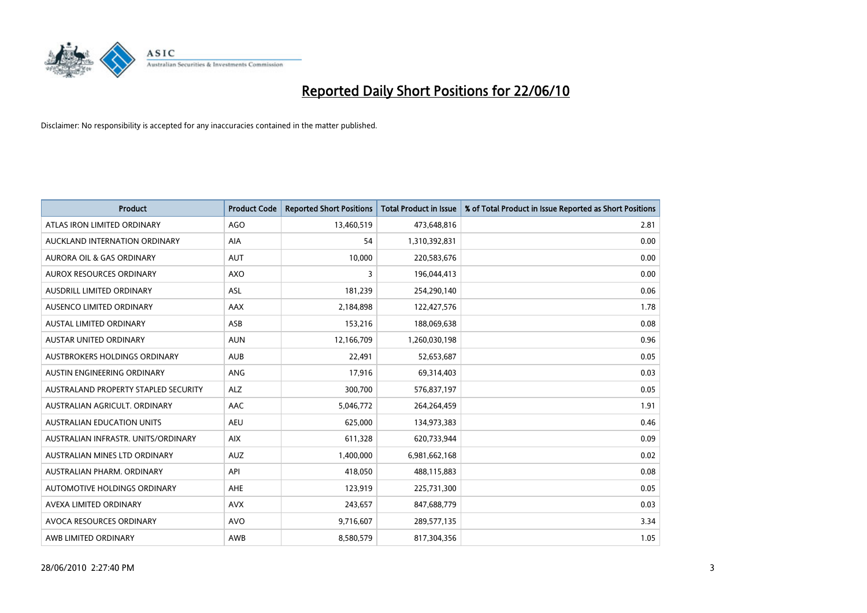

| <b>Product</b>                       | <b>Product Code</b> | <b>Reported Short Positions</b> | Total Product in Issue | % of Total Product in Issue Reported as Short Positions |
|--------------------------------------|---------------------|---------------------------------|------------------------|---------------------------------------------------------|
| ATLAS IRON LIMITED ORDINARY          | <b>AGO</b>          | 13,460,519                      | 473,648,816            | 2.81                                                    |
| AUCKLAND INTERNATION ORDINARY        | AIA                 | 54                              | 1,310,392,831          | 0.00                                                    |
| <b>AURORA OIL &amp; GAS ORDINARY</b> | <b>AUT</b>          | 10,000                          | 220,583,676            | 0.00                                                    |
| AUROX RESOURCES ORDINARY             | <b>AXO</b>          | 3                               | 196,044,413            | 0.00                                                    |
| AUSDRILL LIMITED ORDINARY            | <b>ASL</b>          | 181,239                         | 254,290,140            | 0.06                                                    |
| AUSENCO LIMITED ORDINARY             | AAX                 | 2,184,898                       | 122,427,576            | 1.78                                                    |
| AUSTAL LIMITED ORDINARY              | ASB                 | 153,216                         | 188,069,638            | 0.08                                                    |
| AUSTAR UNITED ORDINARY               | <b>AUN</b>          | 12,166,709                      | 1,260,030,198          | 0.96                                                    |
| AUSTBROKERS HOLDINGS ORDINARY        | <b>AUB</b>          | 22,491                          | 52,653,687             | 0.05                                                    |
| AUSTIN ENGINEERING ORDINARY          | ANG                 | 17,916                          | 69,314,403             | 0.03                                                    |
| AUSTRALAND PROPERTY STAPLED SECURITY | <b>ALZ</b>          | 300,700                         | 576,837,197            | 0.05                                                    |
| AUSTRALIAN AGRICULT, ORDINARY        | AAC                 | 5,046,772                       | 264,264,459            | 1.91                                                    |
| AUSTRALIAN EDUCATION UNITS           | <b>AEU</b>          | 625,000                         | 134,973,383            | 0.46                                                    |
| AUSTRALIAN INFRASTR. UNITS/ORDINARY  | <b>AIX</b>          | 611,328                         | 620,733,944            | 0.09                                                    |
| AUSTRALIAN MINES LTD ORDINARY        | <b>AUZ</b>          | 1,400,000                       | 6,981,662,168          | 0.02                                                    |
| AUSTRALIAN PHARM. ORDINARY           | API                 | 418,050                         | 488,115,883            | 0.08                                                    |
| AUTOMOTIVE HOLDINGS ORDINARY         | AHE                 | 123,919                         | 225,731,300            | 0.05                                                    |
| AVEXA LIMITED ORDINARY               | <b>AVX</b>          | 243,657                         | 847,688,779            | 0.03                                                    |
| AVOCA RESOURCES ORDINARY             | <b>AVO</b>          | 9,716,607                       | 289,577,135            | 3.34                                                    |
| AWB LIMITED ORDINARY                 | AWB                 | 8,580,579                       | 817,304,356            | 1.05                                                    |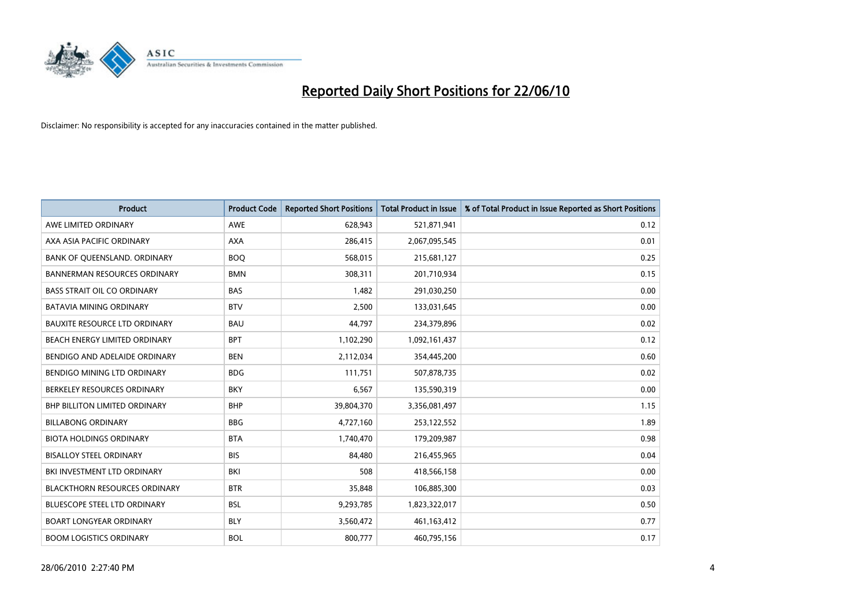

| <b>Product</b>                       | <b>Product Code</b> | <b>Reported Short Positions</b> | <b>Total Product in Issue</b> | % of Total Product in Issue Reported as Short Positions |
|--------------------------------------|---------------------|---------------------------------|-------------------------------|---------------------------------------------------------|
| AWE LIMITED ORDINARY                 | <b>AWE</b>          | 628,943                         | 521,871,941                   | 0.12                                                    |
| AXA ASIA PACIFIC ORDINARY            | <b>AXA</b>          | 286,415                         | 2,067,095,545                 | 0.01                                                    |
| BANK OF QUEENSLAND. ORDINARY         | <b>BOO</b>          | 568,015                         | 215,681,127                   | 0.25                                                    |
| <b>BANNERMAN RESOURCES ORDINARY</b>  | <b>BMN</b>          | 308,311                         | 201,710,934                   | 0.15                                                    |
| <b>BASS STRAIT OIL CO ORDINARY</b>   | <b>BAS</b>          | 1,482                           | 291,030,250                   | 0.00                                                    |
| <b>BATAVIA MINING ORDINARY</b>       | <b>BTV</b>          | 2,500                           | 133,031,645                   | 0.00                                                    |
| <b>BAUXITE RESOURCE LTD ORDINARY</b> | <b>BAU</b>          | 44.797                          | 234,379,896                   | 0.02                                                    |
| BEACH ENERGY LIMITED ORDINARY        | <b>BPT</b>          | 1,102,290                       | 1,092,161,437                 | 0.12                                                    |
| BENDIGO AND ADELAIDE ORDINARY        | <b>BEN</b>          | 2,112,034                       | 354,445,200                   | 0.60                                                    |
| BENDIGO MINING LTD ORDINARY          | <b>BDG</b>          | 111,751                         | 507,878,735                   | 0.02                                                    |
| BERKELEY RESOURCES ORDINARY          | <b>BKY</b>          | 6,567                           | 135,590,319                   | 0.00                                                    |
| <b>BHP BILLITON LIMITED ORDINARY</b> | <b>BHP</b>          | 39,804,370                      | 3,356,081,497                 | 1.15                                                    |
| <b>BILLABONG ORDINARY</b>            | <b>BBG</b>          | 4,727,160                       | 253,122,552                   | 1.89                                                    |
| <b>BIOTA HOLDINGS ORDINARY</b>       | <b>BTA</b>          | 1,740,470                       | 179,209,987                   | 0.98                                                    |
| <b>BISALLOY STEEL ORDINARY</b>       | <b>BIS</b>          | 84,480                          | 216,455,965                   | 0.04                                                    |
| BKI INVESTMENT LTD ORDINARY          | BKI                 | 508                             | 418,566,158                   | 0.00                                                    |
| <b>BLACKTHORN RESOURCES ORDINARY</b> | <b>BTR</b>          | 35,848                          | 106,885,300                   | 0.03                                                    |
| BLUESCOPE STEEL LTD ORDINARY         | <b>BSL</b>          | 9,293,785                       | 1,823,322,017                 | 0.50                                                    |
| <b>BOART LONGYEAR ORDINARY</b>       | <b>BLY</b>          | 3,560,472                       | 461,163,412                   | 0.77                                                    |
| <b>BOOM LOGISTICS ORDINARY</b>       | <b>BOL</b>          | 800.777                         | 460,795,156                   | 0.17                                                    |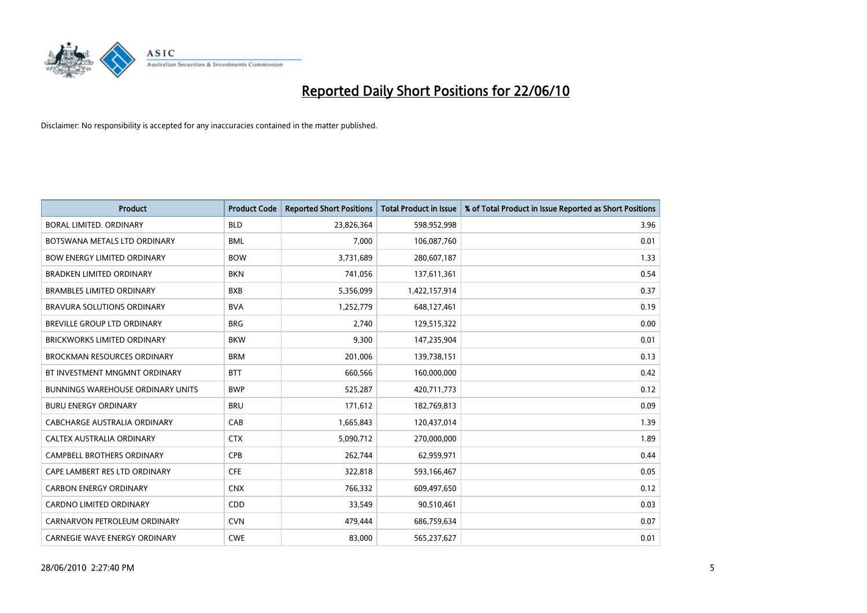

| <b>Product</b>                           | <b>Product Code</b> | <b>Reported Short Positions</b> | <b>Total Product in Issue</b> | % of Total Product in Issue Reported as Short Positions |
|------------------------------------------|---------------------|---------------------------------|-------------------------------|---------------------------------------------------------|
| <b>BORAL LIMITED, ORDINARY</b>           | <b>BLD</b>          | 23,826,364                      | 598,952,998                   | 3.96                                                    |
| BOTSWANA METALS LTD ORDINARY             | <b>BML</b>          | 7,000                           | 106,087,760                   | 0.01                                                    |
| <b>BOW ENERGY LIMITED ORDINARY</b>       | <b>BOW</b>          | 3,731,689                       | 280,607,187                   | 1.33                                                    |
| <b>BRADKEN LIMITED ORDINARY</b>          | <b>BKN</b>          | 741,056                         | 137,611,361                   | 0.54                                                    |
| <b>BRAMBLES LIMITED ORDINARY</b>         | <b>BXB</b>          | 5,356,099                       | 1,422,157,914                 | 0.37                                                    |
| <b>BRAVURA SOLUTIONS ORDINARY</b>        | <b>BVA</b>          | 1,252,779                       | 648,127,461                   | 0.19                                                    |
| BREVILLE GROUP LTD ORDINARY              | <b>BRG</b>          | 2,740                           | 129,515,322                   | 0.00                                                    |
| BRICKWORKS LIMITED ORDINARY              | <b>BKW</b>          | 9,300                           | 147,235,904                   | 0.01                                                    |
| <b>BROCKMAN RESOURCES ORDINARY</b>       | <b>BRM</b>          | 201,006                         | 139,738,151                   | 0.13                                                    |
| BT INVESTMENT MNGMNT ORDINARY            | <b>BTT</b>          | 660,566                         | 160,000,000                   | 0.42                                                    |
| <b>BUNNINGS WAREHOUSE ORDINARY UNITS</b> | <b>BWP</b>          | 525,287                         | 420,711,773                   | 0.12                                                    |
| <b>BURU ENERGY ORDINARY</b>              | <b>BRU</b>          | 171,612                         | 182,769,813                   | 0.09                                                    |
| CABCHARGE AUSTRALIA ORDINARY             | CAB                 | 1,665,843                       | 120,437,014                   | 1.39                                                    |
| CALTEX AUSTRALIA ORDINARY                | <b>CTX</b>          | 5,090,712                       | 270,000,000                   | 1.89                                                    |
| <b>CAMPBELL BROTHERS ORDINARY</b>        | CPB                 | 262,744                         | 62,959,971                    | 0.44                                                    |
| CAPE LAMBERT RES LTD ORDINARY            | <b>CFE</b>          | 322,818                         | 593,166,467                   | 0.05                                                    |
| <b>CARBON ENERGY ORDINARY</b>            | <b>CNX</b>          | 766,332                         | 609,497,650                   | 0.12                                                    |
| CARDNO LIMITED ORDINARY                  | CDD                 | 33,549                          | 90,510,461                    | 0.03                                                    |
| CARNARVON PETROLEUM ORDINARY             | <b>CVN</b>          | 479,444                         | 686,759,634                   | 0.07                                                    |
| CARNEGIE WAVE ENERGY ORDINARY            | <b>CWE</b>          | 83,000                          | 565,237,627                   | 0.01                                                    |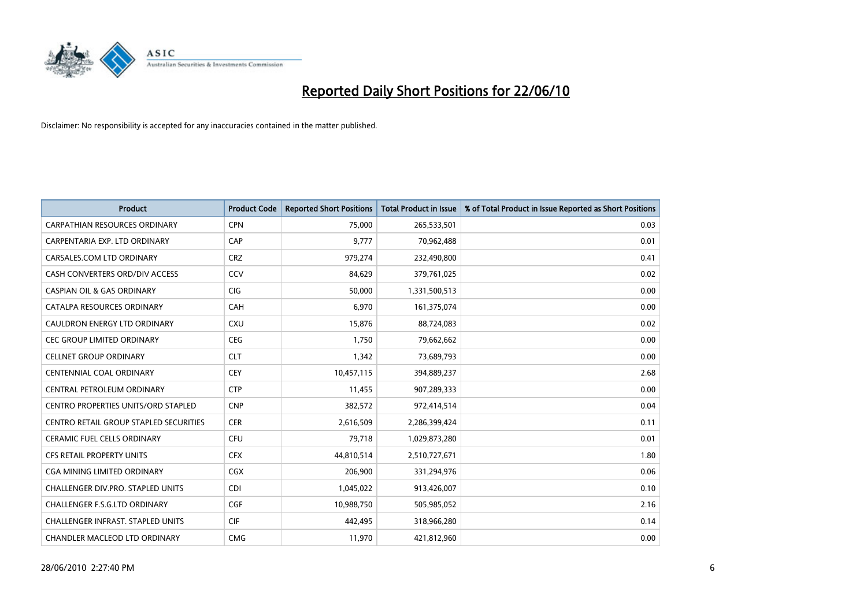

| <b>Product</b>                                | <b>Product Code</b> | <b>Reported Short Positions</b> | Total Product in Issue | % of Total Product in Issue Reported as Short Positions |
|-----------------------------------------------|---------------------|---------------------------------|------------------------|---------------------------------------------------------|
| CARPATHIAN RESOURCES ORDINARY                 | <b>CPN</b>          | 75,000                          | 265,533,501            | 0.03                                                    |
| CARPENTARIA EXP. LTD ORDINARY                 | CAP                 | 9,777                           | 70,962,488             | 0.01                                                    |
| CARSALES.COM LTD ORDINARY                     | <b>CRZ</b>          | 979,274                         | 232,490,800            | 0.41                                                    |
| CASH CONVERTERS ORD/DIV ACCESS                | CCV                 | 84,629                          | 379,761,025            | 0.02                                                    |
| <b>CASPIAN OIL &amp; GAS ORDINARY</b>         | <b>CIG</b>          | 50,000                          | 1,331,500,513          | 0.00                                                    |
| CATALPA RESOURCES ORDINARY                    | CAH                 | 6,970                           | 161,375,074            | 0.00                                                    |
| CAULDRON ENERGY LTD ORDINARY                  | <b>CXU</b>          | 15,876                          | 88,724,083             | 0.02                                                    |
| <b>CEC GROUP LIMITED ORDINARY</b>             | <b>CEG</b>          | 1,750                           | 79,662,662             | 0.00                                                    |
| <b>CELLNET GROUP ORDINARY</b>                 | <b>CLT</b>          | 1,342                           | 73,689,793             | 0.00                                                    |
| <b>CENTENNIAL COAL ORDINARY</b>               | <b>CEY</b>          | 10,457,115                      | 394,889,237            | 2.68                                                    |
| CENTRAL PETROLEUM ORDINARY                    | <b>CTP</b>          | 11,455                          | 907,289,333            | 0.00                                                    |
| <b>CENTRO PROPERTIES UNITS/ORD STAPLED</b>    | <b>CNP</b>          | 382,572                         | 972,414,514            | 0.04                                                    |
| <b>CENTRO RETAIL GROUP STAPLED SECURITIES</b> | <b>CER</b>          | 2,616,509                       | 2,286,399,424          | 0.11                                                    |
| <b>CERAMIC FUEL CELLS ORDINARY</b>            | <b>CFU</b>          | 79,718                          | 1,029,873,280          | 0.01                                                    |
| <b>CFS RETAIL PROPERTY UNITS</b>              | <b>CFX</b>          | 44,810,514                      | 2,510,727,671          | 1.80                                                    |
| CGA MINING LIMITED ORDINARY                   | CGX                 | 206,900                         | 331,294,976            | 0.06                                                    |
| CHALLENGER DIV.PRO. STAPLED UNITS             | <b>CDI</b>          | 1,045,022                       | 913,426,007            | 0.10                                                    |
| CHALLENGER F.S.G.LTD ORDINARY                 | <b>CGF</b>          | 10,988,750                      | 505,985,052            | 2.16                                                    |
| <b>CHALLENGER INFRAST, STAPLED UNITS</b>      | <b>CIF</b>          | 442.495                         | 318,966,280            | 0.14                                                    |
| CHANDLER MACLEOD LTD ORDINARY                 | <b>CMG</b>          | 11,970                          | 421,812,960            | 0.00                                                    |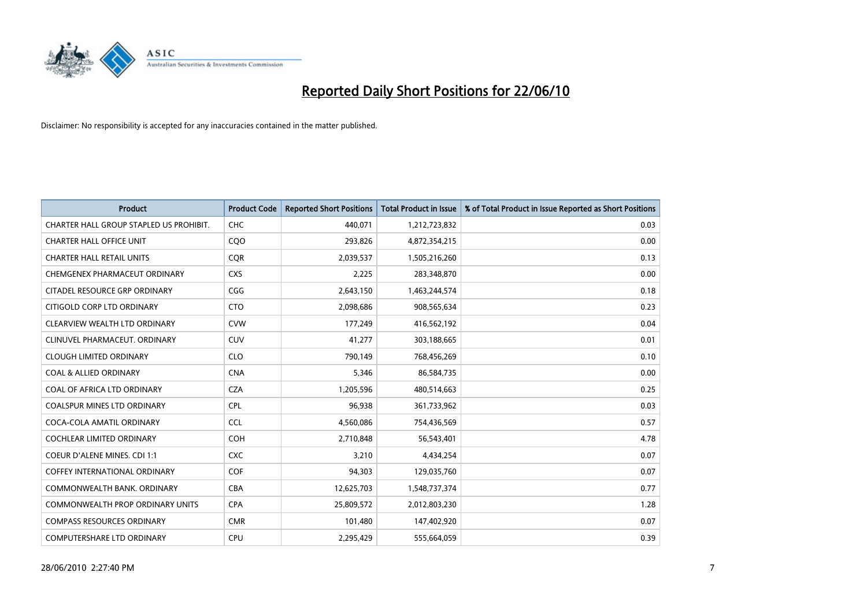

| <b>Product</b>                          | <b>Product Code</b> | <b>Reported Short Positions</b> | <b>Total Product in Issue</b> | % of Total Product in Issue Reported as Short Positions |
|-----------------------------------------|---------------------|---------------------------------|-------------------------------|---------------------------------------------------------|
| CHARTER HALL GROUP STAPLED US PROHIBIT. | CHC                 | 440,071                         | 1,212,723,832                 | 0.03                                                    |
| <b>CHARTER HALL OFFICE UNIT</b>         | COO                 | 293,826                         | 4,872,354,215                 | 0.00                                                    |
| <b>CHARTER HALL RETAIL UNITS</b>        | <b>COR</b>          | 2,039,537                       | 1,505,216,260                 | 0.13                                                    |
| CHEMGENEX PHARMACEUT ORDINARY           | <b>CXS</b>          | 2,225                           | 283,348,870                   | 0.00                                                    |
| <b>CITADEL RESOURCE GRP ORDINARY</b>    | CGG                 | 2,643,150                       | 1,463,244,574                 | 0.18                                                    |
| CITIGOLD CORP LTD ORDINARY              | <b>CTO</b>          | 2,098,686                       | 908,565,634                   | 0.23                                                    |
| CLEARVIEW WEALTH LTD ORDINARY           | <b>CVW</b>          | 177,249                         | 416,562,192                   | 0.04                                                    |
| CLINUVEL PHARMACEUT. ORDINARY           | <b>CUV</b>          | 41,277                          | 303,188,665                   | 0.01                                                    |
| <b>CLOUGH LIMITED ORDINARY</b>          | <b>CLO</b>          | 790,149                         | 768,456,269                   | 0.10                                                    |
| <b>COAL &amp; ALLIED ORDINARY</b>       | <b>CNA</b>          | 5,346                           | 86,584,735                    | 0.00                                                    |
| COAL OF AFRICA LTD ORDINARY             | <b>CZA</b>          | 1,205,596                       | 480,514,663                   | 0.25                                                    |
| <b>COALSPUR MINES LTD ORDINARY</b>      | <b>CPL</b>          | 96,938                          | 361,733,962                   | 0.03                                                    |
| COCA-COLA AMATIL ORDINARY               | <b>CCL</b>          | 4,560,086                       | 754,436,569                   | 0.57                                                    |
| <b>COCHLEAR LIMITED ORDINARY</b>        | COH                 | 2,710,848                       | 56,543,401                    | 4.78                                                    |
| <b>COEUR D'ALENE MINES. CDI 1:1</b>     | <b>CXC</b>          | 3,210                           | 4,434,254                     | 0.07                                                    |
| <b>COFFEY INTERNATIONAL ORDINARY</b>    | <b>COF</b>          | 94.303                          | 129,035,760                   | 0.07                                                    |
| COMMONWEALTH BANK, ORDINARY             | <b>CBA</b>          | 12,625,703                      | 1,548,737,374                 | 0.77                                                    |
| COMMONWEALTH PROP ORDINARY UNITS        | <b>CPA</b>          | 25,809,572                      | 2,012,803,230                 | 1.28                                                    |
| <b>COMPASS RESOURCES ORDINARY</b>       | <b>CMR</b>          | 101,480                         | 147,402,920                   | 0.07                                                    |
| COMPUTERSHARE LTD ORDINARY              | <b>CPU</b>          | 2,295,429                       | 555,664,059                   | 0.39                                                    |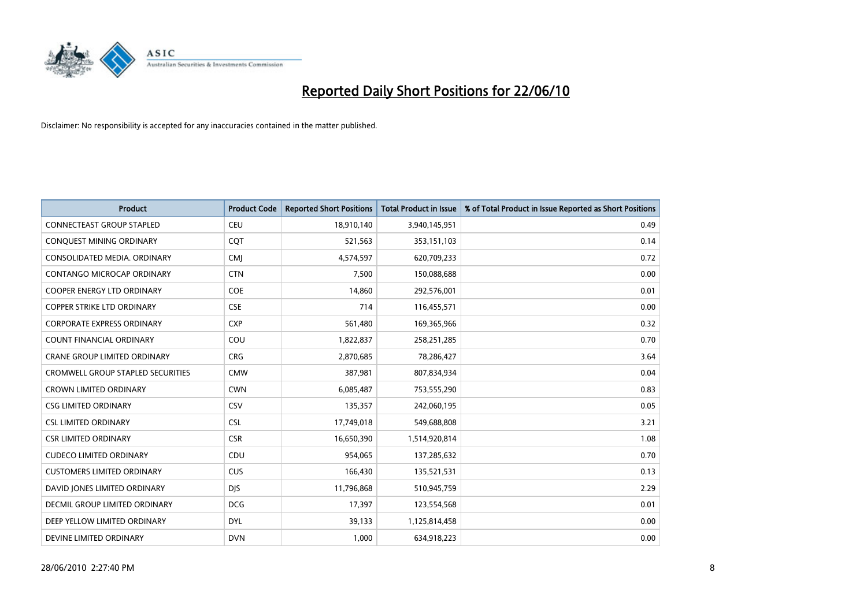

| <b>Product</b>                           | <b>Product Code</b> | <b>Reported Short Positions</b> | Total Product in Issue | % of Total Product in Issue Reported as Short Positions |
|------------------------------------------|---------------------|---------------------------------|------------------------|---------------------------------------------------------|
| <b>CONNECTEAST GROUP STAPLED</b>         | <b>CEU</b>          | 18,910,140                      | 3,940,145,951          | 0.49                                                    |
| CONQUEST MINING ORDINARY                 | COT                 | 521,563                         | 353,151,103            | 0.14                                                    |
| CONSOLIDATED MEDIA, ORDINARY             | <b>CMI</b>          | 4,574,597                       | 620,709,233            | 0.72                                                    |
| CONTANGO MICROCAP ORDINARY               | <b>CTN</b>          | 7,500                           | 150,088,688            | 0.00                                                    |
| <b>COOPER ENERGY LTD ORDINARY</b>        | <b>COE</b>          | 14,860                          | 292,576,001            | 0.01                                                    |
| <b>COPPER STRIKE LTD ORDINARY</b>        | <b>CSE</b>          | 714                             | 116,455,571            | 0.00                                                    |
| <b>CORPORATE EXPRESS ORDINARY</b>        | <b>CXP</b>          | 561,480                         | 169,365,966            | 0.32                                                    |
| COUNT FINANCIAL ORDINARY                 | COU                 | 1,822,837                       | 258,251,285            | 0.70                                                    |
| <b>CRANE GROUP LIMITED ORDINARY</b>      | <b>CRG</b>          | 2,870,685                       | 78,286,427             | 3.64                                                    |
| <b>CROMWELL GROUP STAPLED SECURITIES</b> | <b>CMW</b>          | 387,981                         | 807,834,934            | 0.04                                                    |
| <b>CROWN LIMITED ORDINARY</b>            | <b>CWN</b>          | 6,085,487                       | 753,555,290            | 0.83                                                    |
| <b>CSG LIMITED ORDINARY</b>              | CSV                 | 135,357                         | 242,060,195            | 0.05                                                    |
| <b>CSL LIMITED ORDINARY</b>              | <b>CSL</b>          | 17,749,018                      | 549,688,808            | 3.21                                                    |
| <b>CSR LIMITED ORDINARY</b>              | <b>CSR</b>          | 16,650,390                      | 1,514,920,814          | 1.08                                                    |
| <b>CUDECO LIMITED ORDINARY</b>           | CDU                 | 954,065                         | 137,285,632            | 0.70                                                    |
| <b>CUSTOMERS LIMITED ORDINARY</b>        | CUS                 | 166,430                         | 135,521,531            | 0.13                                                    |
| DAVID JONES LIMITED ORDINARY             | <b>DJS</b>          | 11,796,868                      | 510,945,759            | 2.29                                                    |
| DECMIL GROUP LIMITED ORDINARY            | <b>DCG</b>          | 17,397                          | 123,554,568            | 0.01                                                    |
| DEEP YELLOW LIMITED ORDINARY             | <b>DYL</b>          | 39,133                          | 1,125,814,458          | 0.00                                                    |
| DEVINE LIMITED ORDINARY                  | <b>DVN</b>          | 1,000                           | 634,918,223            | 0.00                                                    |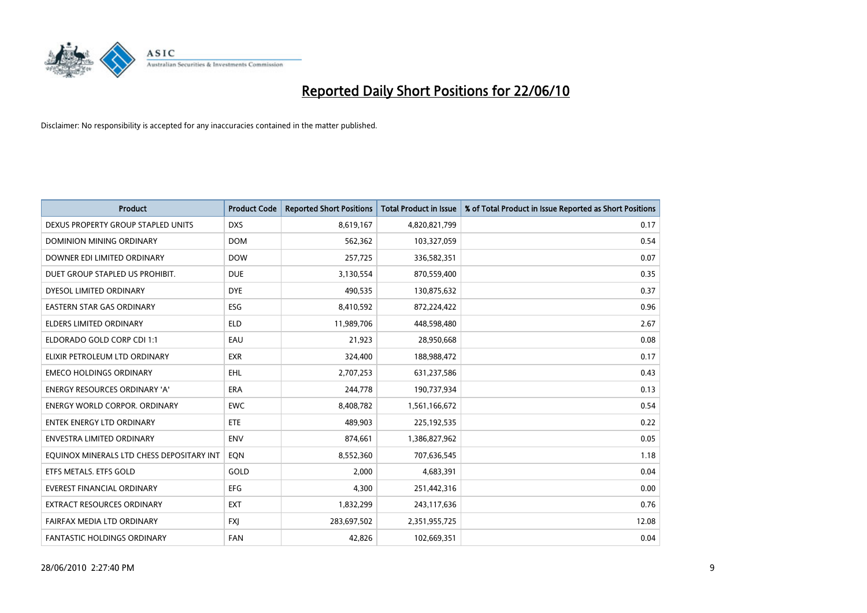

| <b>Product</b>                            | <b>Product Code</b> | <b>Reported Short Positions</b> | <b>Total Product in Issue</b> | % of Total Product in Issue Reported as Short Positions |
|-------------------------------------------|---------------------|---------------------------------|-------------------------------|---------------------------------------------------------|
| DEXUS PROPERTY GROUP STAPLED UNITS        | <b>DXS</b>          | 8,619,167                       | 4,820,821,799                 | 0.17                                                    |
| DOMINION MINING ORDINARY                  | <b>DOM</b>          | 562,362                         | 103,327,059                   | 0.54                                                    |
| DOWNER EDI LIMITED ORDINARY               | <b>DOW</b>          | 257,725                         | 336,582,351                   | 0.07                                                    |
| DUET GROUP STAPLED US PROHIBIT.           | <b>DUE</b>          | 3,130,554                       | 870,559,400                   | 0.35                                                    |
| DYESOL LIMITED ORDINARY                   | <b>DYE</b>          | 490,535                         | 130,875,632                   | 0.37                                                    |
| <b>EASTERN STAR GAS ORDINARY</b>          | ESG                 | 8,410,592                       | 872,224,422                   | 0.96                                                    |
| ELDERS LIMITED ORDINARY                   | <b>ELD</b>          | 11,989,706                      | 448,598,480                   | 2.67                                                    |
| ELDORADO GOLD CORP CDI 1:1                | EAU                 | 21,923                          | 28,950,668                    | 0.08                                                    |
| ELIXIR PETROLEUM LTD ORDINARY             | <b>EXR</b>          | 324.400                         | 188,988,472                   | 0.17                                                    |
| <b>EMECO HOLDINGS ORDINARY</b>            | EHL                 | 2,707,253                       | 631,237,586                   | 0.43                                                    |
| ENERGY RESOURCES ORDINARY 'A'             | <b>ERA</b>          | 244,778                         | 190,737,934                   | 0.13                                                    |
| <b>ENERGY WORLD CORPOR, ORDINARY</b>      | <b>EWC</b>          | 8,408,782                       | 1,561,166,672                 | 0.54                                                    |
| ENTEK ENERGY LTD ORDINARY                 | <b>ETE</b>          | 489,903                         | 225,192,535                   | 0.22                                                    |
| <b>ENVESTRA LIMITED ORDINARY</b>          | <b>ENV</b>          | 874,661                         | 1,386,827,962                 | 0.05                                                    |
| EQUINOX MINERALS LTD CHESS DEPOSITARY INT | EON                 | 8,552,360                       | 707,636,545                   | 1.18                                                    |
| ETFS METALS. ETFS GOLD                    | GOLD                | 2,000                           | 4,683,391                     | 0.04                                                    |
| EVEREST FINANCIAL ORDINARY                | EFG                 | 4,300                           | 251,442,316                   | 0.00                                                    |
| EXTRACT RESOURCES ORDINARY                | <b>EXT</b>          | 1,832,299                       | 243,117,636                   | 0.76                                                    |
| FAIRFAX MEDIA LTD ORDINARY                | <b>FXI</b>          | 283,697,502                     | 2,351,955,725                 | 12.08                                                   |
| FANTASTIC HOLDINGS ORDINARY               | <b>FAN</b>          | 42,826                          | 102,669,351                   | 0.04                                                    |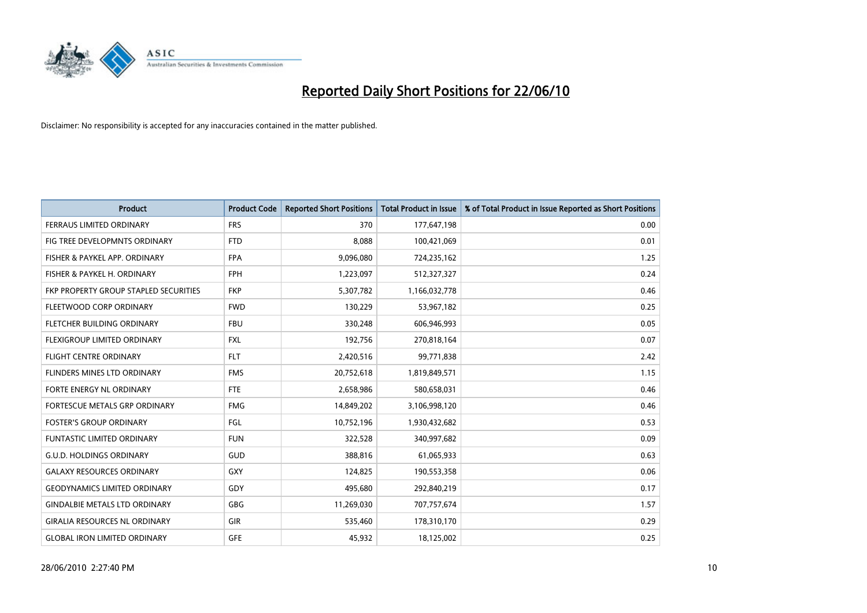

| <b>Product</b>                               | <b>Product Code</b> | <b>Reported Short Positions</b> | <b>Total Product in Issue</b> | % of Total Product in Issue Reported as Short Positions |
|----------------------------------------------|---------------------|---------------------------------|-------------------------------|---------------------------------------------------------|
| <b>FERRAUS LIMITED ORDINARY</b>              | <b>FRS</b>          | 370                             | 177,647,198                   | 0.00                                                    |
| FIG TREE DEVELOPMNTS ORDINARY                | <b>FTD</b>          | 8,088                           | 100,421,069                   | 0.01                                                    |
| FISHER & PAYKEL APP. ORDINARY                | <b>FPA</b>          | 9,096,080                       | 724,235,162                   | 1.25                                                    |
| FISHER & PAYKEL H. ORDINARY                  | <b>FPH</b>          | 1,223,097                       | 512,327,327                   | 0.24                                                    |
| <b>FKP PROPERTY GROUP STAPLED SECURITIES</b> | <b>FKP</b>          | 5,307,782                       | 1,166,032,778                 | 0.46                                                    |
| FLEETWOOD CORP ORDINARY                      | <b>FWD</b>          | 130,229                         | 53,967,182                    | 0.25                                                    |
| FLETCHER BUILDING ORDINARY                   | <b>FBU</b>          | 330,248                         | 606,946,993                   | 0.05                                                    |
| FLEXIGROUP LIMITED ORDINARY                  | <b>FXL</b>          | 192,756                         | 270,818,164                   | 0.07                                                    |
| <b>FLIGHT CENTRE ORDINARY</b>                | <b>FLT</b>          | 2,420,516                       | 99,771,838                    | 2.42                                                    |
| FLINDERS MINES LTD ORDINARY                  | <b>FMS</b>          | 20,752,618                      | 1,819,849,571                 | 1.15                                                    |
| FORTE ENERGY NL ORDINARY                     | <b>FTE</b>          | 2,658,986                       | 580,658,031                   | 0.46                                                    |
| FORTESCUE METALS GRP ORDINARY                | <b>FMG</b>          | 14,849,202                      | 3,106,998,120                 | 0.46                                                    |
| <b>FOSTER'S GROUP ORDINARY</b>               | FGL                 | 10,752,196                      | 1,930,432,682                 | 0.53                                                    |
| FUNTASTIC LIMITED ORDINARY                   | <b>FUN</b>          | 322,528                         | 340,997,682                   | 0.09                                                    |
| <b>G.U.D. HOLDINGS ORDINARY</b>              | <b>GUD</b>          | 388,816                         | 61,065,933                    | 0.63                                                    |
| <b>GALAXY RESOURCES ORDINARY</b>             | <b>GXY</b>          | 124,825                         | 190,553,358                   | 0.06                                                    |
| <b>GEODYNAMICS LIMITED ORDINARY</b>          | GDY                 | 495,680                         | 292,840,219                   | 0.17                                                    |
| <b>GINDALBIE METALS LTD ORDINARY</b>         | <b>GBG</b>          | 11,269,030                      | 707,757,674                   | 1.57                                                    |
| <b>GIRALIA RESOURCES NL ORDINARY</b>         | <b>GIR</b>          | 535,460                         | 178,310,170                   | 0.29                                                    |
| <b>GLOBAL IRON LIMITED ORDINARY</b>          | <b>GFE</b>          | 45,932                          | 18,125,002                    | 0.25                                                    |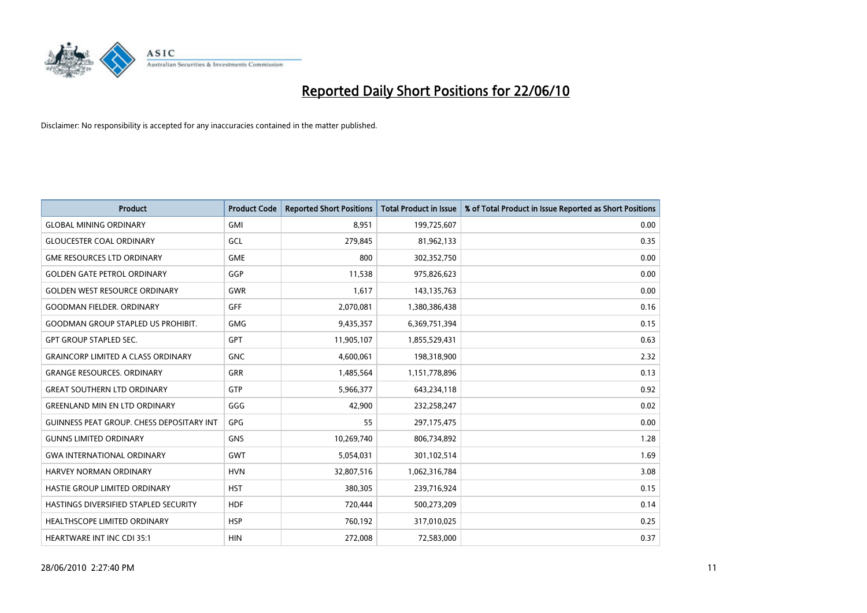

| <b>Product</b>                            | <b>Product Code</b> | <b>Reported Short Positions</b> | <b>Total Product in Issue</b> | % of Total Product in Issue Reported as Short Positions |
|-------------------------------------------|---------------------|---------------------------------|-------------------------------|---------------------------------------------------------|
| <b>GLOBAL MINING ORDINARY</b>             | <b>GMI</b>          | 8.951                           | 199,725,607                   | 0.00                                                    |
| <b>GLOUCESTER COAL ORDINARY</b>           | GCL                 | 279,845                         | 81,962,133                    | 0.35                                                    |
| <b>GME RESOURCES LTD ORDINARY</b>         | <b>GME</b>          | 800                             | 302,352,750                   | 0.00                                                    |
| <b>GOLDEN GATE PETROL ORDINARY</b>        | GGP                 | 11,538                          | 975,826,623                   | 0.00                                                    |
| <b>GOLDEN WEST RESOURCE ORDINARY</b>      | <b>GWR</b>          | 1,617                           | 143, 135, 763                 | 0.00                                                    |
| <b>GOODMAN FIELDER, ORDINARY</b>          | <b>GFF</b>          | 2,070,081                       | 1,380,386,438                 | 0.16                                                    |
| <b>GOODMAN GROUP STAPLED US PROHIBIT.</b> | <b>GMG</b>          | 9,435,357                       | 6,369,751,394                 | 0.15                                                    |
| <b>GPT GROUP STAPLED SEC.</b>             | <b>GPT</b>          | 11,905,107                      | 1,855,529,431                 | 0.63                                                    |
| <b>GRAINCORP LIMITED A CLASS ORDINARY</b> | <b>GNC</b>          | 4,600,061                       | 198,318,900                   | 2.32                                                    |
| <b>GRANGE RESOURCES, ORDINARY</b>         | GRR                 | 1,485,564                       | 1,151,778,896                 | 0.13                                                    |
| <b>GREAT SOUTHERN LTD ORDINARY</b>        | <b>GTP</b>          | 5,966,377                       | 643,234,118                   | 0.92                                                    |
| <b>GREENLAND MIN EN LTD ORDINARY</b>      | GGG                 | 42,900                          | 232,258,247                   | 0.02                                                    |
| GUINNESS PEAT GROUP. CHESS DEPOSITARY INT | GPG                 | 55                              | 297,175,475                   | 0.00                                                    |
| <b>GUNNS LIMITED ORDINARY</b>             | <b>GNS</b>          | 10,269,740                      | 806,734,892                   | 1.28                                                    |
| <b>GWA INTERNATIONAL ORDINARY</b>         | <b>GWT</b>          | 5,054,031                       | 301,102,514                   | 1.69                                                    |
| <b>HARVEY NORMAN ORDINARY</b>             | <b>HVN</b>          | 32,807,516                      | 1,062,316,784                 | 3.08                                                    |
| HASTIE GROUP LIMITED ORDINARY             | <b>HST</b>          | 380,305                         | 239,716,924                   | 0.15                                                    |
| HASTINGS DIVERSIFIED STAPLED SECURITY     | <b>HDF</b>          | 720,444                         | 500,273,209                   | 0.14                                                    |
| HEALTHSCOPE LIMITED ORDINARY              | <b>HSP</b>          | 760,192                         | 317,010,025                   | 0.25                                                    |
| <b>HEARTWARE INT INC CDI 35:1</b>         | <b>HIN</b>          | 272,008                         | 72,583,000                    | 0.37                                                    |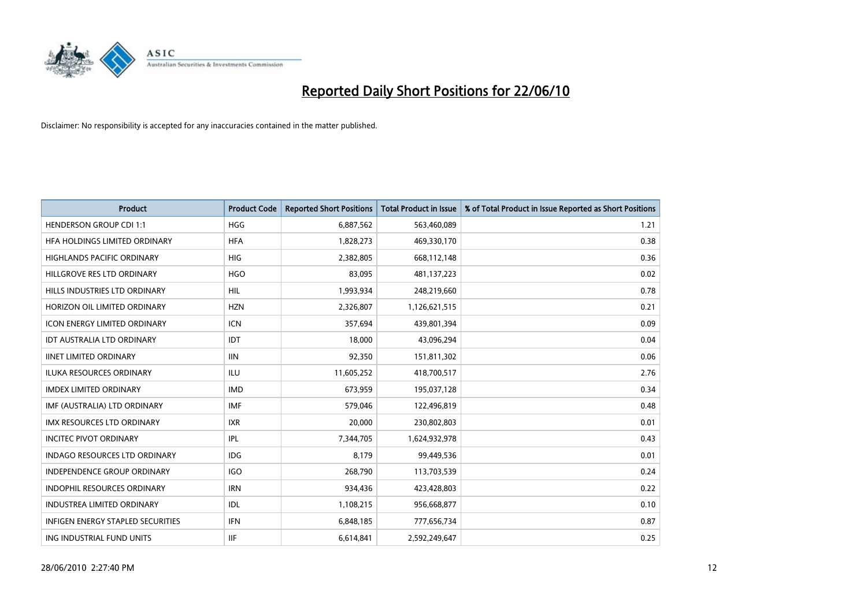

| <b>Product</b>                           | <b>Product Code</b> | <b>Reported Short Positions</b> | <b>Total Product in Issue</b> | % of Total Product in Issue Reported as Short Positions |
|------------------------------------------|---------------------|---------------------------------|-------------------------------|---------------------------------------------------------|
| <b>HENDERSON GROUP CDI 1:1</b>           | <b>HGG</b>          | 6,887,562                       | 563,460,089                   | 1.21                                                    |
| HFA HOLDINGS LIMITED ORDINARY            | <b>HFA</b>          | 1,828,273                       | 469,330,170                   | 0.38                                                    |
| HIGHLANDS PACIFIC ORDINARY               | <b>HIG</b>          | 2,382,805                       | 668,112,148                   | 0.36                                                    |
| HILLGROVE RES LTD ORDINARY               | <b>HGO</b>          | 83,095                          | 481,137,223                   | 0.02                                                    |
| HILLS INDUSTRIES LTD ORDINARY            | <b>HIL</b>          | 1,993,934                       | 248,219,660                   | 0.78                                                    |
| HORIZON OIL LIMITED ORDINARY             | <b>HZN</b>          | 2,326,807                       | 1,126,621,515                 | 0.21                                                    |
| <b>ICON ENERGY LIMITED ORDINARY</b>      | <b>ICN</b>          | 357,694                         | 439,801,394                   | 0.09                                                    |
| <b>IDT AUSTRALIA LTD ORDINARY</b>        | <b>IDT</b>          | 18,000                          | 43,096,294                    | 0.04                                                    |
| <b>IINET LIMITED ORDINARY</b>            | <b>IIN</b>          | 92,350                          | 151,811,302                   | 0.06                                                    |
| <b>ILUKA RESOURCES ORDINARY</b>          | <b>ILU</b>          | 11,605,252                      | 418,700,517                   | 2.76                                                    |
| IMDEX LIMITED ORDINARY                   | <b>IMD</b>          | 673,959                         | 195,037,128                   | 0.34                                                    |
| IMF (AUSTRALIA) LTD ORDINARY             | <b>IMF</b>          | 579,046                         | 122,496,819                   | 0.48                                                    |
| <b>IMX RESOURCES LTD ORDINARY</b>        | <b>IXR</b>          | 20,000                          | 230,802,803                   | 0.01                                                    |
| <b>INCITEC PIVOT ORDINARY</b>            | IPL                 | 7,344,705                       | 1,624,932,978                 | 0.43                                                    |
| INDAGO RESOURCES LTD ORDINARY            | <b>IDG</b>          | 8,179                           | 99,449,536                    | 0.01                                                    |
| INDEPENDENCE GROUP ORDINARY              | <b>IGO</b>          | 268,790                         | 113,703,539                   | 0.24                                                    |
| INDOPHIL RESOURCES ORDINARY              | <b>IRN</b>          | 934,436                         | 423,428,803                   | 0.22                                                    |
| <b>INDUSTREA LIMITED ORDINARY</b>        | IDL                 | 1,108,215                       | 956,668,877                   | 0.10                                                    |
| <b>INFIGEN ENERGY STAPLED SECURITIES</b> | <b>IFN</b>          | 6,848,185                       | 777,656,734                   | 0.87                                                    |
| ING INDUSTRIAL FUND UNITS                | <b>IIF</b>          | 6,614,841                       | 2,592,249,647                 | 0.25                                                    |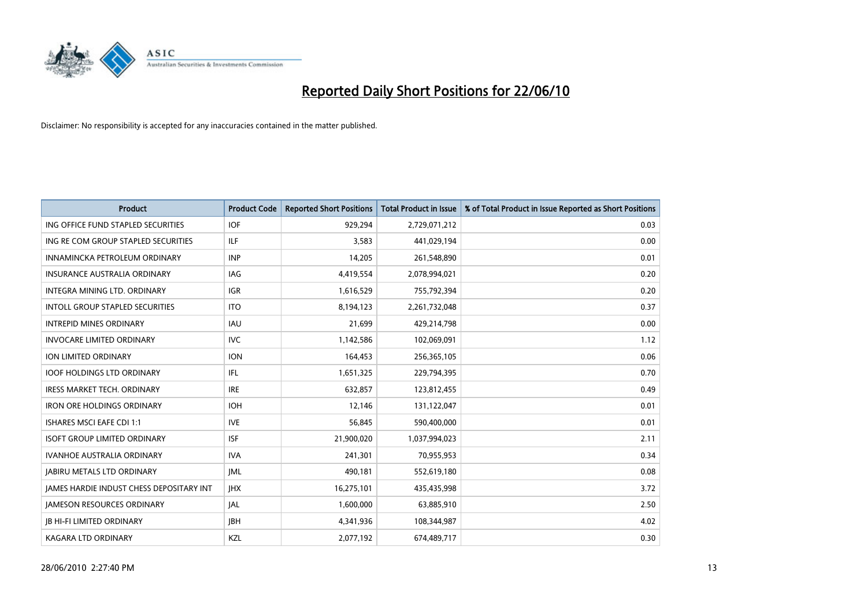

| <b>Product</b>                                  | <b>Product Code</b> | <b>Reported Short Positions</b> | <b>Total Product in Issue</b> | % of Total Product in Issue Reported as Short Positions |
|-------------------------------------------------|---------------------|---------------------------------|-------------------------------|---------------------------------------------------------|
| ING OFFICE FUND STAPLED SECURITIES              | <b>IOF</b>          | 929,294                         | 2,729,071,212                 | 0.03                                                    |
| ING RE COM GROUP STAPLED SECURITIES             | <b>ILF</b>          | 3,583                           | 441,029,194                   | 0.00                                                    |
| INNAMINCKA PETROLEUM ORDINARY                   | <b>INP</b>          | 14,205                          | 261,548,890                   | 0.01                                                    |
| INSURANCE AUSTRALIA ORDINARY                    | IAG                 | 4,419,554                       | 2,078,994,021                 | 0.20                                                    |
| <b>INTEGRA MINING LTD, ORDINARY</b>             | <b>IGR</b>          | 1,616,529                       | 755,792,394                   | 0.20                                                    |
| <b>INTOLL GROUP STAPLED SECURITIES</b>          | <b>ITO</b>          | 8,194,123                       | 2,261,732,048                 | 0.37                                                    |
| <b>INTREPID MINES ORDINARY</b>                  | <b>IAU</b>          | 21,699                          | 429,214,798                   | 0.00                                                    |
| <b>INVOCARE LIMITED ORDINARY</b>                | <b>IVC</b>          | 1,142,586                       | 102,069,091                   | 1.12                                                    |
| ION LIMITED ORDINARY                            | <b>ION</b>          | 164,453                         | 256,365,105                   | 0.06                                                    |
| <b>IOOF HOLDINGS LTD ORDINARY</b>               | IFL.                | 1,651,325                       | 229,794,395                   | 0.70                                                    |
| <b>IRESS MARKET TECH. ORDINARY</b>              | <b>IRE</b>          | 632,857                         | 123,812,455                   | 0.49                                                    |
| <b>IRON ORE HOLDINGS ORDINARY</b>               | <b>IOH</b>          | 12,146                          | 131,122,047                   | 0.01                                                    |
| <b>ISHARES MSCI EAFE CDI 1:1</b>                | <b>IVE</b>          | 56,845                          | 590,400,000                   | 0.01                                                    |
| <b>ISOFT GROUP LIMITED ORDINARY</b>             | <b>ISF</b>          | 21,900,020                      | 1,037,994,023                 | 2.11                                                    |
| <b>IVANHOE AUSTRALIA ORDINARY</b>               | <b>IVA</b>          | 241,301                         | 70,955,953                    | 0.34                                                    |
| <b>JABIRU METALS LTD ORDINARY</b>               | <b>IML</b>          | 490,181                         | 552,619,180                   | 0.08                                                    |
| <b>JAMES HARDIE INDUST CHESS DEPOSITARY INT</b> | <b>IHX</b>          | 16,275,101                      | 435,435,998                   | 3.72                                                    |
| <b>JAMESON RESOURCES ORDINARY</b>               | JAL                 | 1,600,000                       | 63,885,910                    | 2.50                                                    |
| <b>JB HI-FI LIMITED ORDINARY</b>                | <b>IBH</b>          | 4,341,936                       | 108,344,987                   | 4.02                                                    |
| KAGARA LTD ORDINARY                             | KZL                 | 2,077,192                       | 674,489,717                   | 0.30                                                    |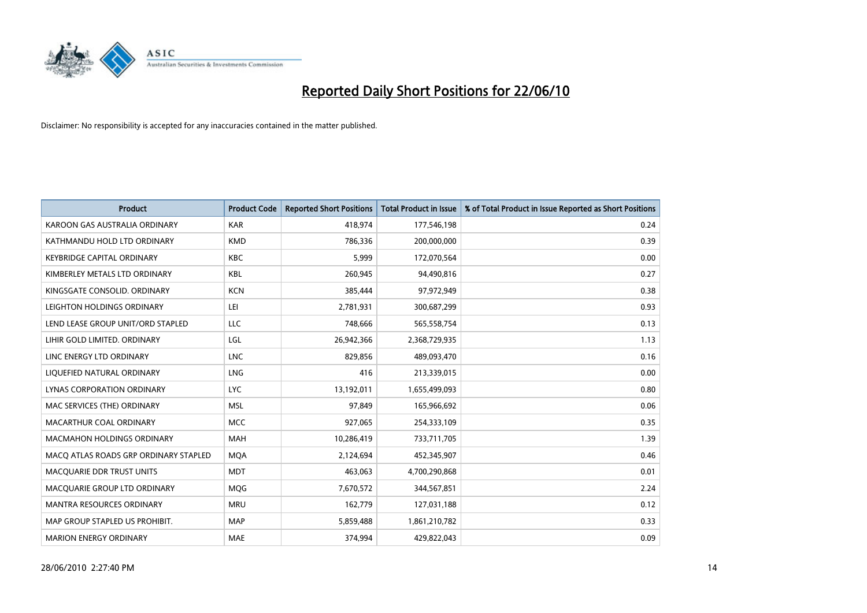

| <b>Product</b>                        | <b>Product Code</b> | <b>Reported Short Positions</b> | <b>Total Product in Issue</b> | % of Total Product in Issue Reported as Short Positions |
|---------------------------------------|---------------------|---------------------------------|-------------------------------|---------------------------------------------------------|
| KAROON GAS AUSTRALIA ORDINARY         | <b>KAR</b>          | 418,974                         | 177,546,198                   | 0.24                                                    |
| KATHMANDU HOLD LTD ORDINARY           | <b>KMD</b>          | 786,336                         | 200,000,000                   | 0.39                                                    |
| <b>KEYBRIDGE CAPITAL ORDINARY</b>     | <b>KBC</b>          | 5.999                           | 172,070,564                   | 0.00                                                    |
| KIMBERLEY METALS LTD ORDINARY         | <b>KBL</b>          | 260,945                         | 94,490,816                    | 0.27                                                    |
| KINGSGATE CONSOLID, ORDINARY          | <b>KCN</b>          | 385,444                         | 97,972,949                    | 0.38                                                    |
| LEIGHTON HOLDINGS ORDINARY            | LEI                 | 2,781,931                       | 300,687,299                   | 0.93                                                    |
| LEND LEASE GROUP UNIT/ORD STAPLED     | LLC                 | 748,666                         | 565,558,754                   | 0.13                                                    |
| LIHIR GOLD LIMITED. ORDINARY          | LGL                 | 26,942,366                      | 2,368,729,935                 | 1.13                                                    |
| LINC ENERGY LTD ORDINARY              | <b>LNC</b>          | 829.856                         | 489,093,470                   | 0.16                                                    |
| LIQUEFIED NATURAL ORDINARY            | <b>LNG</b>          | 416                             | 213,339,015                   | 0.00                                                    |
| LYNAS CORPORATION ORDINARY            | <b>LYC</b>          | 13,192,011                      | 1,655,499,093                 | 0.80                                                    |
| MAC SERVICES (THE) ORDINARY           | <b>MSL</b>          | 97,849                          | 165,966,692                   | 0.06                                                    |
| MACARTHUR COAL ORDINARY               | <b>MCC</b>          | 927,065                         | 254,333,109                   | 0.35                                                    |
| <b>MACMAHON HOLDINGS ORDINARY</b>     | MAH                 | 10,286,419                      | 733,711,705                   | 1.39                                                    |
| MACO ATLAS ROADS GRP ORDINARY STAPLED | <b>MQA</b>          | 2,124,694                       | 452,345,907                   | 0.46                                                    |
| MACQUARIE DDR TRUST UNITS             | <b>MDT</b>          | 463,063                         | 4,700,290,868                 | 0.01                                                    |
| MACQUARIE GROUP LTD ORDINARY          | MQG                 | 7,670,572                       | 344,567,851                   | 2.24                                                    |
| <b>MANTRA RESOURCES ORDINARY</b>      | <b>MRU</b>          | 162,779                         | 127,031,188                   | 0.12                                                    |
| MAP GROUP STAPLED US PROHIBIT.        | <b>MAP</b>          | 5,859,488                       | 1,861,210,782                 | 0.33                                                    |
| <b>MARION ENERGY ORDINARY</b>         | <b>MAE</b>          | 374,994                         | 429,822,043                   | 0.09                                                    |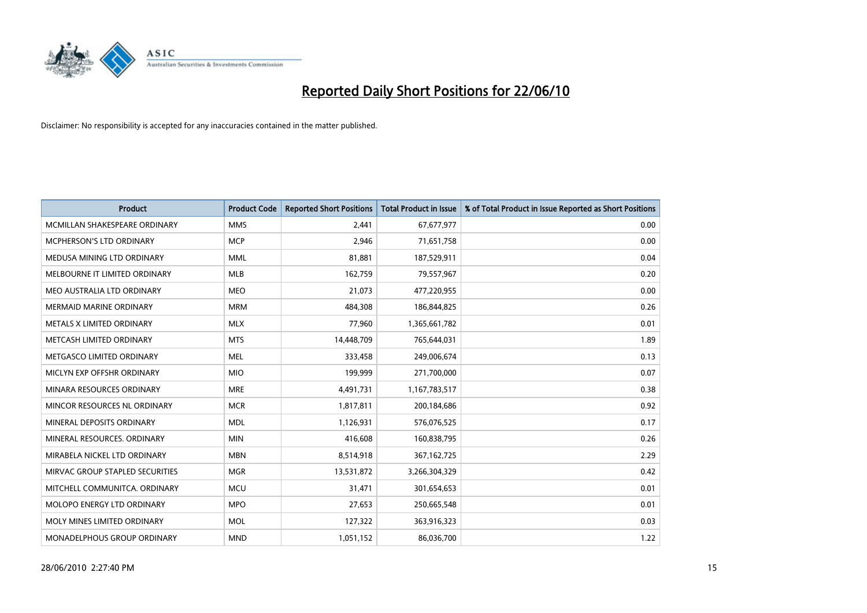

| <b>Product</b>                   | <b>Product Code</b> | <b>Reported Short Positions</b> | <b>Total Product in Issue</b> | % of Total Product in Issue Reported as Short Positions |
|----------------------------------|---------------------|---------------------------------|-------------------------------|---------------------------------------------------------|
| MCMILLAN SHAKESPEARE ORDINARY    | <b>MMS</b>          | 2,441                           | 67,677,977                    | 0.00                                                    |
| MCPHERSON'S LTD ORDINARY         | <b>MCP</b>          | 2,946                           | 71,651,758                    | 0.00                                                    |
| MEDUSA MINING LTD ORDINARY       | <b>MML</b>          | 81,881                          | 187,529,911                   | 0.04                                                    |
| MELBOURNE IT LIMITED ORDINARY    | <b>MLB</b>          | 162,759                         | 79,557,967                    | 0.20                                                    |
| MEO AUSTRALIA LTD ORDINARY       | <b>MEO</b>          | 21,073                          | 477,220,955                   | 0.00                                                    |
| <b>MERMAID MARINE ORDINARY</b>   | <b>MRM</b>          | 484,308                         | 186,844,825                   | 0.26                                                    |
| <b>METALS X LIMITED ORDINARY</b> | <b>MLX</b>          | 77,960                          | 1,365,661,782                 | 0.01                                                    |
| METCASH LIMITED ORDINARY         | <b>MTS</b>          | 14,448,709                      | 765,644,031                   | 1.89                                                    |
| METGASCO LIMITED ORDINARY        | <b>MEL</b>          | 333,458                         | 249,006,674                   | 0.13                                                    |
| MICLYN EXP OFFSHR ORDINARY       | <b>MIO</b>          | 199,999                         | 271,700,000                   | 0.07                                                    |
| MINARA RESOURCES ORDINARY        | <b>MRE</b>          | 4,491,731                       | 1,167,783,517                 | 0.38                                                    |
| MINCOR RESOURCES NL ORDINARY     | <b>MCR</b>          | 1,817,811                       | 200,184,686                   | 0.92                                                    |
| MINERAL DEPOSITS ORDINARY        | <b>MDL</b>          | 1,126,931                       | 576,076,525                   | 0.17                                                    |
| MINERAL RESOURCES, ORDINARY      | <b>MIN</b>          | 416,608                         | 160,838,795                   | 0.26                                                    |
| MIRABELA NICKEL LTD ORDINARY     | <b>MBN</b>          | 8,514,918                       | 367, 162, 725                 | 2.29                                                    |
| MIRVAC GROUP STAPLED SECURITIES  | <b>MGR</b>          | 13,531,872                      | 3,266,304,329                 | 0.42                                                    |
| MITCHELL COMMUNITCA. ORDINARY    | <b>MCU</b>          | 31,471                          | 301,654,653                   | 0.01                                                    |
| MOLOPO ENERGY LTD ORDINARY       | <b>MPO</b>          | 27,653                          | 250,665,548                   | 0.01                                                    |
| MOLY MINES LIMITED ORDINARY      | <b>MOL</b>          | 127,322                         | 363,916,323                   | 0.03                                                    |
| MONADELPHOUS GROUP ORDINARY      | <b>MND</b>          | 1,051,152                       | 86,036,700                    | 1.22                                                    |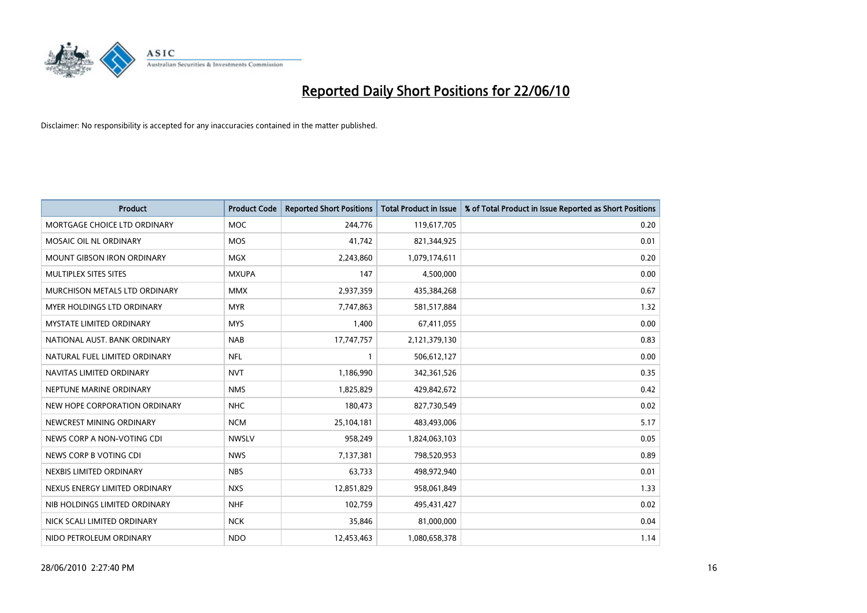

| <b>Product</b>                    | <b>Product Code</b> | <b>Reported Short Positions</b> | <b>Total Product in Issue</b> | % of Total Product in Issue Reported as Short Positions |
|-----------------------------------|---------------------|---------------------------------|-------------------------------|---------------------------------------------------------|
| MORTGAGE CHOICE LTD ORDINARY      | <b>MOC</b>          | 244,776                         | 119,617,705                   | 0.20                                                    |
| MOSAIC OIL NL ORDINARY            | <b>MOS</b>          | 41,742                          | 821,344,925                   | 0.01                                                    |
| <b>MOUNT GIBSON IRON ORDINARY</b> | <b>MGX</b>          | 2,243,860                       | 1,079,174,611                 | 0.20                                                    |
| MULTIPLEX SITES SITES             | <b>MXUPA</b>        | 147                             | 4,500,000                     | 0.00                                                    |
| MURCHISON METALS LTD ORDINARY     | <b>MMX</b>          | 2,937,359                       | 435,384,268                   | 0.67                                                    |
| <b>MYER HOLDINGS LTD ORDINARY</b> | <b>MYR</b>          | 7,747,863                       | 581,517,884                   | 1.32                                                    |
| <b>MYSTATE LIMITED ORDINARY</b>   | <b>MYS</b>          | 1,400                           | 67,411,055                    | 0.00                                                    |
| NATIONAL AUST. BANK ORDINARY      | <b>NAB</b>          | 17,747,757                      | 2,121,379,130                 | 0.83                                                    |
| NATURAL FUEL LIMITED ORDINARY     | <b>NFL</b>          |                                 | 506,612,127                   | 0.00                                                    |
| NAVITAS LIMITED ORDINARY          | <b>NVT</b>          | 1,186,990                       | 342,361,526                   | 0.35                                                    |
| NEPTUNE MARINE ORDINARY           | <b>NMS</b>          | 1,825,829                       | 429,842,672                   | 0.42                                                    |
| NEW HOPE CORPORATION ORDINARY     | <b>NHC</b>          | 180,473                         | 827,730,549                   | 0.02                                                    |
| NEWCREST MINING ORDINARY          | <b>NCM</b>          | 25,104,181                      | 483,493,006                   | 5.17                                                    |
| NEWS CORP A NON-VOTING CDI        | <b>NWSLV</b>        | 958,249                         | 1,824,063,103                 | 0.05                                                    |
| NEWS CORP B VOTING CDI            | <b>NWS</b>          | 7,137,381                       | 798,520,953                   | 0.89                                                    |
| NEXBIS LIMITED ORDINARY           | <b>NBS</b>          | 63,733                          | 498,972,940                   | 0.01                                                    |
| NEXUS ENERGY LIMITED ORDINARY     | <b>NXS</b>          | 12,851,829                      | 958,061,849                   | 1.33                                                    |
| NIB HOLDINGS LIMITED ORDINARY     | <b>NHF</b>          | 102,759                         | 495,431,427                   | 0.02                                                    |
| NICK SCALI LIMITED ORDINARY       | <b>NCK</b>          | 35,846                          | 81,000,000                    | 0.04                                                    |
| NIDO PETROLEUM ORDINARY           | <b>NDO</b>          | 12,453,463                      | 1,080,658,378                 | 1.14                                                    |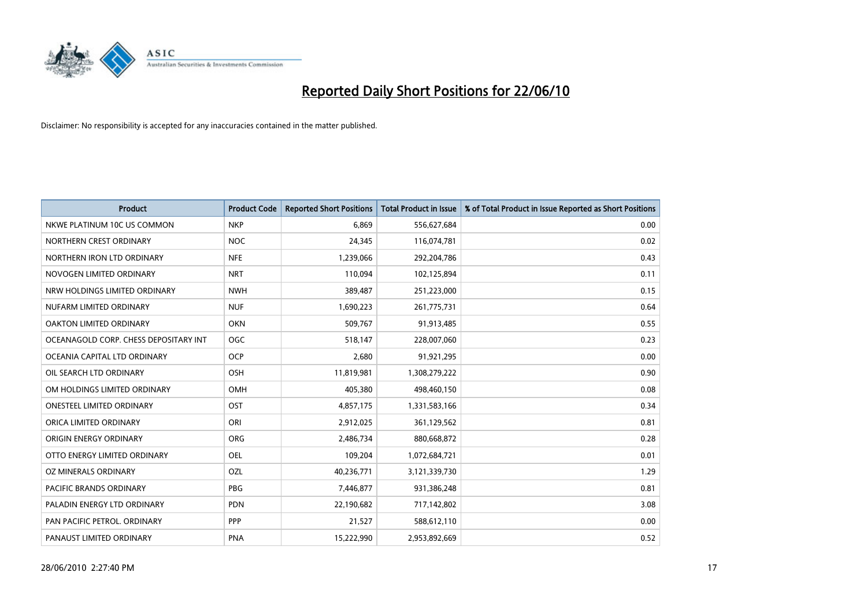

| <b>Product</b>                        | <b>Product Code</b> | <b>Reported Short Positions</b> | <b>Total Product in Issue</b> | % of Total Product in Issue Reported as Short Positions |
|---------------------------------------|---------------------|---------------------------------|-------------------------------|---------------------------------------------------------|
| NKWE PLATINUM 10C US COMMON           | <b>NKP</b>          | 6.869                           | 556,627,684                   | 0.00                                                    |
| NORTHERN CREST ORDINARY               | <b>NOC</b>          | 24,345                          | 116,074,781                   | 0.02                                                    |
| NORTHERN IRON LTD ORDINARY            | <b>NFE</b>          | 1,239,066                       | 292,204,786                   | 0.43                                                    |
| NOVOGEN LIMITED ORDINARY              | <b>NRT</b>          | 110,094                         | 102,125,894                   | 0.11                                                    |
| NRW HOLDINGS LIMITED ORDINARY         | <b>NWH</b>          | 389,487                         | 251,223,000                   | 0.15                                                    |
| NUFARM LIMITED ORDINARY               | <b>NUF</b>          | 1,690,223                       | 261,775,731                   | 0.64                                                    |
| OAKTON LIMITED ORDINARY               | <b>OKN</b>          | 509,767                         | 91,913,485                    | 0.55                                                    |
| OCEANAGOLD CORP. CHESS DEPOSITARY INT | OGC                 | 518,147                         | 228,007,060                   | 0.23                                                    |
| OCEANIA CAPITAL LTD ORDINARY          | <b>OCP</b>          | 2,680                           | 91,921,295                    | 0.00                                                    |
| OIL SEARCH LTD ORDINARY               | <b>OSH</b>          | 11,819,981                      | 1,308,279,222                 | 0.90                                                    |
| OM HOLDINGS LIMITED ORDINARY          | <b>OMH</b>          | 405,380                         | 498,460,150                   | 0.08                                                    |
| <b>ONESTEEL LIMITED ORDINARY</b>      | OST                 | 4,857,175                       | 1,331,583,166                 | 0.34                                                    |
| ORICA LIMITED ORDINARY                | ORI                 | 2,912,025                       | 361,129,562                   | 0.81                                                    |
| ORIGIN ENERGY ORDINARY                | ORG                 | 2,486,734                       | 880,668,872                   | 0.28                                                    |
| OTTO ENERGY LIMITED ORDINARY          | <b>OEL</b>          | 109,204                         | 1,072,684,721                 | 0.01                                                    |
| OZ MINERALS ORDINARY                  | OZL                 | 40,236,771                      | 3,121,339,730                 | 1.29                                                    |
| PACIFIC BRANDS ORDINARY               | <b>PBG</b>          | 7,446,877                       | 931,386,248                   | 0.81                                                    |
| PALADIN ENERGY LTD ORDINARY           | <b>PDN</b>          | 22,190,682                      | 717,142,802                   | 3.08                                                    |
| PAN PACIFIC PETROL. ORDINARY          | <b>PPP</b>          | 21,527                          | 588,612,110                   | 0.00                                                    |
| PANAUST LIMITED ORDINARY              | <b>PNA</b>          | 15,222,990                      | 2,953,892,669                 | 0.52                                                    |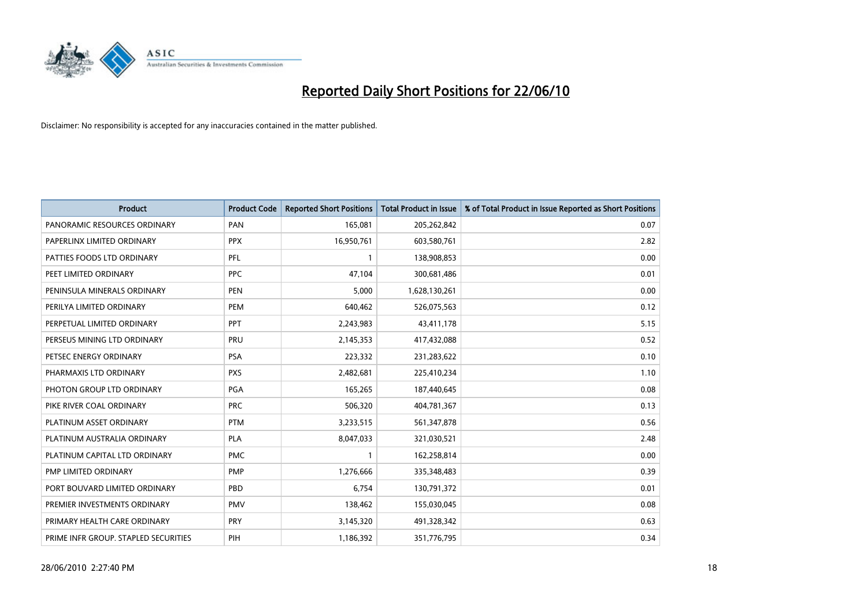

| <b>Product</b>                       | <b>Product Code</b> | <b>Reported Short Positions</b> | <b>Total Product in Issue</b> | % of Total Product in Issue Reported as Short Positions |
|--------------------------------------|---------------------|---------------------------------|-------------------------------|---------------------------------------------------------|
| PANORAMIC RESOURCES ORDINARY         | PAN                 | 165,081                         | 205,262,842                   | 0.07                                                    |
| PAPERLINX LIMITED ORDINARY           | <b>PPX</b>          | 16,950,761                      | 603,580,761                   | 2.82                                                    |
| PATTIES FOODS LTD ORDINARY           | PFL                 |                                 | 138,908,853                   | 0.00                                                    |
| PEET LIMITED ORDINARY                | <b>PPC</b>          | 47,104                          | 300,681,486                   | 0.01                                                    |
| PENINSULA MINERALS ORDINARY          | <b>PEN</b>          | 5,000                           | 1,628,130,261                 | 0.00                                                    |
| PERILYA LIMITED ORDINARY             | PEM                 | 640,462                         | 526,075,563                   | 0.12                                                    |
| PERPETUAL LIMITED ORDINARY           | PPT                 | 2,243,983                       | 43,411,178                    | 5.15                                                    |
| PERSEUS MINING LTD ORDINARY          | PRU                 | 2,145,353                       | 417,432,088                   | 0.52                                                    |
| PETSEC ENERGY ORDINARY               | <b>PSA</b>          | 223,332                         | 231,283,622                   | 0.10                                                    |
| PHARMAXIS LTD ORDINARY               | <b>PXS</b>          | 2,482,681                       | 225,410,234                   | 1.10                                                    |
| PHOTON GROUP LTD ORDINARY            | PGA                 | 165,265                         | 187,440,645                   | 0.08                                                    |
| PIKE RIVER COAL ORDINARY             | <b>PRC</b>          | 506,320                         | 404,781,367                   | 0.13                                                    |
| PLATINUM ASSET ORDINARY              | <b>PTM</b>          | 3,233,515                       | 561,347,878                   | 0.56                                                    |
| PLATINUM AUSTRALIA ORDINARY          | PLA                 | 8,047,033                       | 321,030,521                   | 2.48                                                    |
| PLATINUM CAPITAL LTD ORDINARY        | <b>PMC</b>          |                                 | 162,258,814                   | 0.00                                                    |
| PMP LIMITED ORDINARY                 | <b>PMP</b>          | 1,276,666                       | 335,348,483                   | 0.39                                                    |
| PORT BOUVARD LIMITED ORDINARY        | PBD                 | 6,754                           | 130,791,372                   | 0.01                                                    |
| PREMIER INVESTMENTS ORDINARY         | <b>PMV</b>          | 138,462                         | 155,030,045                   | 0.08                                                    |
| PRIMARY HEALTH CARE ORDINARY         | <b>PRY</b>          | 3,145,320                       | 491,328,342                   | 0.63                                                    |
| PRIME INFR GROUP. STAPLED SECURITIES | PIH                 | 1,186,392                       | 351,776,795                   | 0.34                                                    |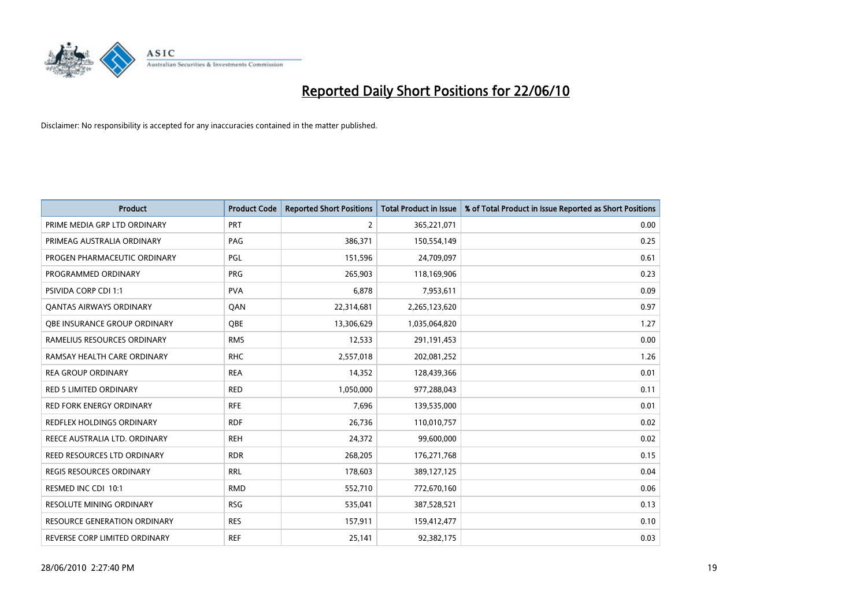

| <b>Product</b>                      | <b>Product Code</b> | <b>Reported Short Positions</b> | <b>Total Product in Issue</b> | % of Total Product in Issue Reported as Short Positions |
|-------------------------------------|---------------------|---------------------------------|-------------------------------|---------------------------------------------------------|
| PRIME MEDIA GRP LTD ORDINARY        | <b>PRT</b>          | 2                               | 365,221,071                   | 0.00                                                    |
| PRIMEAG AUSTRALIA ORDINARY          | PAG                 | 386,371                         | 150,554,149                   | 0.25                                                    |
| PROGEN PHARMACEUTIC ORDINARY        | PGL                 | 151,596                         | 24,709,097                    | 0.61                                                    |
| PROGRAMMED ORDINARY                 | <b>PRG</b>          | 265,903                         | 118,169,906                   | 0.23                                                    |
| PSIVIDA CORP CDI 1:1                | <b>PVA</b>          | 6,878                           | 7,953,611                     | 0.09                                                    |
| <b>QANTAS AIRWAYS ORDINARY</b>      | QAN                 | 22,314,681                      | 2,265,123,620                 | 0.97                                                    |
| OBE INSURANCE GROUP ORDINARY        | OBE                 | 13,306,629                      | 1,035,064,820                 | 1.27                                                    |
| RAMELIUS RESOURCES ORDINARY         | <b>RMS</b>          | 12,533                          | 291,191,453                   | 0.00                                                    |
| RAMSAY HEALTH CARE ORDINARY         | <b>RHC</b>          | 2,557,018                       | 202,081,252                   | 1.26                                                    |
| <b>REA GROUP ORDINARY</b>           | <b>REA</b>          | 14,352                          | 128,439,366                   | 0.01                                                    |
| <b>RED 5 LIMITED ORDINARY</b>       | <b>RED</b>          | 1,050,000                       | 977,288,043                   | 0.11                                                    |
| <b>RED FORK ENERGY ORDINARY</b>     | <b>RFE</b>          | 7,696                           | 139,535,000                   | 0.01                                                    |
| REDFLEX HOLDINGS ORDINARY           | <b>RDF</b>          | 26,736                          | 110,010,757                   | 0.02                                                    |
| REECE AUSTRALIA LTD. ORDINARY       | <b>REH</b>          | 24,372                          | 99,600,000                    | 0.02                                                    |
| REED RESOURCES LTD ORDINARY         | <b>RDR</b>          | 268,205                         | 176,271,768                   | 0.15                                                    |
| REGIS RESOURCES ORDINARY            | <b>RRL</b>          | 178,603                         | 389,127,125                   | 0.04                                                    |
| RESMED INC CDI 10:1                 | <b>RMD</b>          | 552,710                         | 772,670,160                   | 0.06                                                    |
| RESOLUTE MINING ORDINARY            | <b>RSG</b>          | 535,041                         | 387,528,521                   | 0.13                                                    |
| <b>RESOURCE GENERATION ORDINARY</b> | <b>RES</b>          | 157,911                         | 159,412,477                   | 0.10                                                    |
| REVERSE CORP LIMITED ORDINARY       | <b>REF</b>          | 25,141                          | 92,382,175                    | 0.03                                                    |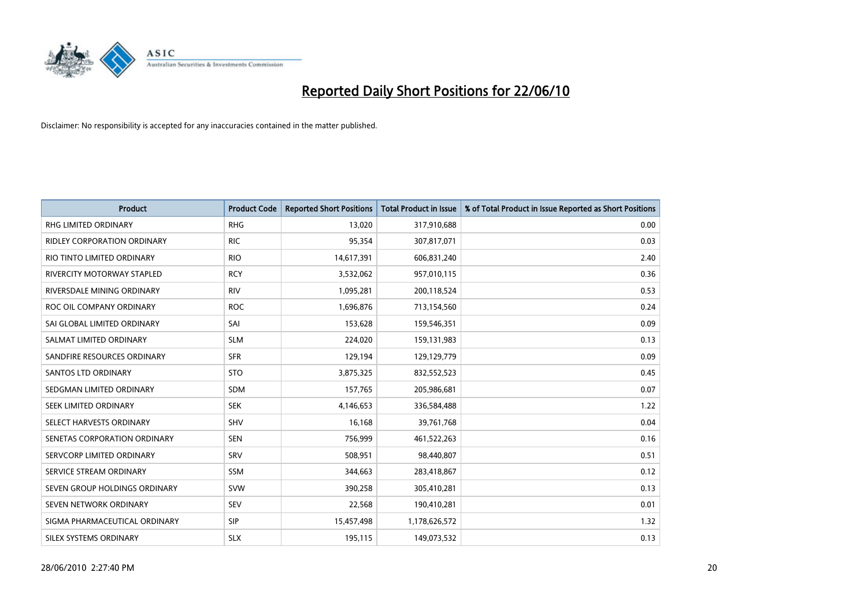

| <b>Product</b>                    | <b>Product Code</b> | <b>Reported Short Positions</b> | Total Product in Issue | % of Total Product in Issue Reported as Short Positions |
|-----------------------------------|---------------------|---------------------------------|------------------------|---------------------------------------------------------|
| <b>RHG LIMITED ORDINARY</b>       | <b>RHG</b>          | 13,020                          | 317,910,688            | 0.00                                                    |
| RIDLEY CORPORATION ORDINARY       | <b>RIC</b>          | 95,354                          | 307,817,071            | 0.03                                                    |
| RIO TINTO LIMITED ORDINARY        | <b>RIO</b>          | 14,617,391                      | 606,831,240            | 2.40                                                    |
| <b>RIVERCITY MOTORWAY STAPLED</b> | <b>RCY</b>          | 3,532,062                       | 957,010,115            | 0.36                                                    |
| RIVERSDALE MINING ORDINARY        | <b>RIV</b>          | 1,095,281                       | 200,118,524            | 0.53                                                    |
| ROC OIL COMPANY ORDINARY          | <b>ROC</b>          | 1,696,876                       | 713,154,560            | 0.24                                                    |
| SAI GLOBAL LIMITED ORDINARY       | SAI                 | 153,628                         | 159,546,351            | 0.09                                                    |
| SALMAT LIMITED ORDINARY           | <b>SLM</b>          | 224,020                         | 159,131,983            | 0.13                                                    |
| SANDFIRE RESOURCES ORDINARY       | <b>SFR</b>          | 129,194                         | 129,129,779            | 0.09                                                    |
| <b>SANTOS LTD ORDINARY</b>        | <b>STO</b>          | 3,875,325                       | 832,552,523            | 0.45                                                    |
| SEDGMAN LIMITED ORDINARY          | <b>SDM</b>          | 157,765                         | 205,986,681            | 0.07                                                    |
| SEEK LIMITED ORDINARY             | <b>SEK</b>          | 4,146,653                       | 336,584,488            | 1.22                                                    |
| SELECT HARVESTS ORDINARY          | SHV                 | 16,168                          | 39,761,768             | 0.04                                                    |
| SENETAS CORPORATION ORDINARY      | <b>SEN</b>          | 756,999                         | 461,522,263            | 0.16                                                    |
| SERVCORP LIMITED ORDINARY         | SRV                 | 508,951                         | 98,440,807             | 0.51                                                    |
| SERVICE STREAM ORDINARY           | <b>SSM</b>          | 344,663                         | 283,418,867            | 0.12                                                    |
| SEVEN GROUP HOLDINGS ORDINARY     | <b>SVW</b>          | 390,258                         | 305,410,281            | 0.13                                                    |
| SEVEN NETWORK ORDINARY            | SEV                 | 22,568                          | 190,410,281            | 0.01                                                    |
| SIGMA PHARMACEUTICAL ORDINARY     | <b>SIP</b>          | 15,457,498                      | 1,178,626,572          | 1.32                                                    |
| SILEX SYSTEMS ORDINARY            | <b>SLX</b>          | 195,115                         | 149,073,532            | 0.13                                                    |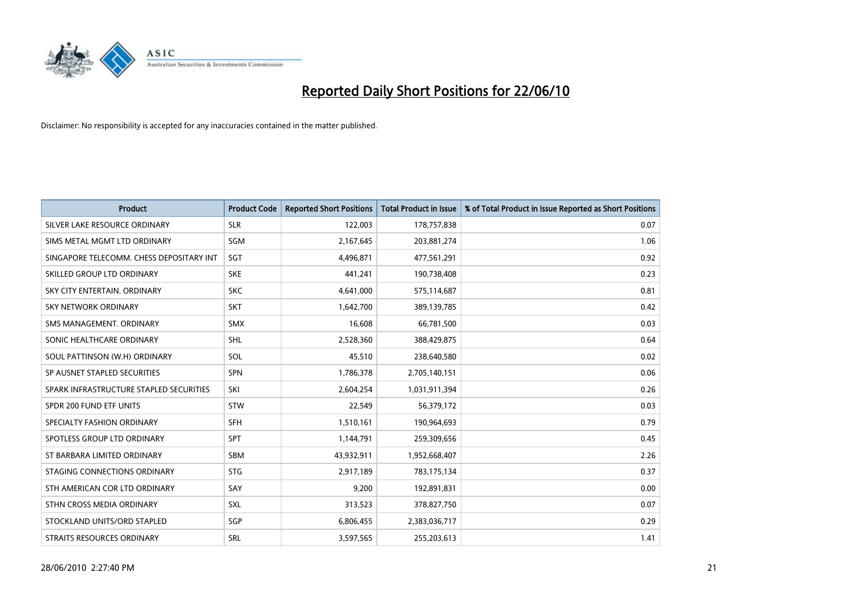

| <b>Product</b>                           | <b>Product Code</b> | <b>Reported Short Positions</b> | <b>Total Product in Issue</b> | % of Total Product in Issue Reported as Short Positions |
|------------------------------------------|---------------------|---------------------------------|-------------------------------|---------------------------------------------------------|
| SILVER LAKE RESOURCE ORDINARY            | <b>SLR</b>          | 122,003                         | 178,757,838                   | 0.07                                                    |
| SIMS METAL MGMT LTD ORDINARY             | SGM                 | 2,167,645                       | 203,881,274                   | 1.06                                                    |
| SINGAPORE TELECOMM. CHESS DEPOSITARY INT | SGT                 | 4,496,871                       | 477,561,291                   | 0.92                                                    |
| SKILLED GROUP LTD ORDINARY               | <b>SKE</b>          | 441,241                         | 190,738,408                   | 0.23                                                    |
| SKY CITY ENTERTAIN, ORDINARY             | <b>SKC</b>          | 4,641,000                       | 575,114,687                   | 0.81                                                    |
| <b>SKY NETWORK ORDINARY</b>              | <b>SKT</b>          | 1,642,700                       | 389,139,785                   | 0.42                                                    |
| SMS MANAGEMENT, ORDINARY                 | <b>SMX</b>          | 16,608                          | 66,781,500                    | 0.03                                                    |
| SONIC HEALTHCARE ORDINARY                | <b>SHL</b>          | 2,528,360                       | 388,429,875                   | 0.64                                                    |
| SOUL PATTINSON (W.H) ORDINARY            | SOL                 | 45,510                          | 238,640,580                   | 0.02                                                    |
| SP AUSNET STAPLED SECURITIES             | <b>SPN</b>          | 1,786,378                       | 2,705,140,151                 | 0.06                                                    |
| SPARK INFRASTRUCTURE STAPLED SECURITIES  | SKI                 | 2,604,254                       | 1,031,911,394                 | 0.26                                                    |
| SPDR 200 FUND ETF UNITS                  | <b>STW</b>          | 22,549                          | 56,379,172                    | 0.03                                                    |
| SPECIALTY FASHION ORDINARY               | SFH                 | 1,510,161                       | 190,964,693                   | 0.79                                                    |
| SPOTLESS GROUP LTD ORDINARY              | SPT                 | 1,144,791                       | 259,309,656                   | 0.45                                                    |
| ST BARBARA LIMITED ORDINARY              | <b>SBM</b>          | 43,932,911                      | 1,952,668,407                 | 2.26                                                    |
| STAGING CONNECTIONS ORDINARY             | <b>STG</b>          | 2,917,189                       | 783,175,134                   | 0.37                                                    |
| STH AMERICAN COR LTD ORDINARY            | SAY                 | 9,200                           | 192,891,831                   | 0.00                                                    |
| STHN CROSS MEDIA ORDINARY                | <b>SXL</b>          | 313,523                         | 378,827,750                   | 0.07                                                    |
| STOCKLAND UNITS/ORD STAPLED              | SGP                 | 6,806,455                       | 2,383,036,717                 | 0.29                                                    |
| STRAITS RESOURCES ORDINARY               | SRL                 | 3,597,565                       | 255,203,613                   | 1.41                                                    |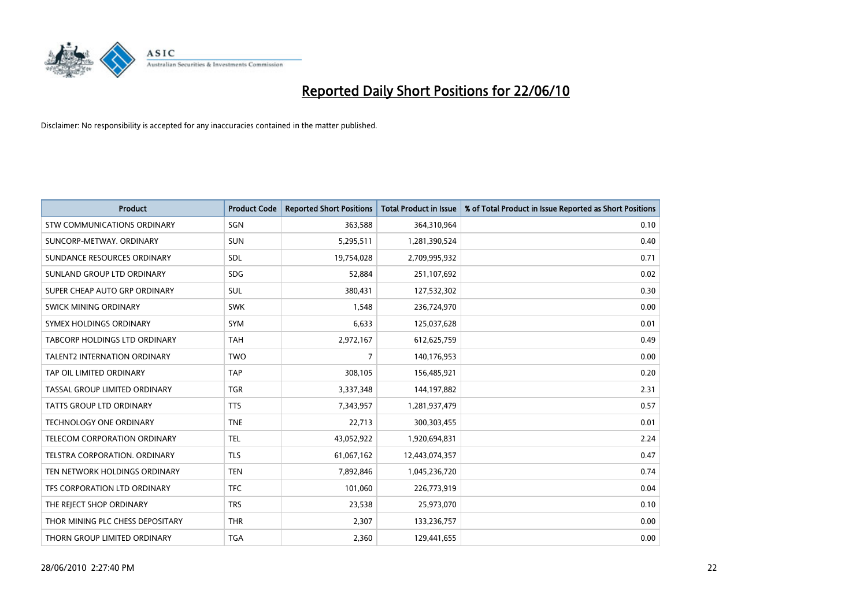

| <b>Product</b>                      | <b>Product Code</b> | <b>Reported Short Positions</b> | <b>Total Product in Issue</b> | % of Total Product in Issue Reported as Short Positions |
|-------------------------------------|---------------------|---------------------------------|-------------------------------|---------------------------------------------------------|
| <b>STW COMMUNICATIONS ORDINARY</b>  | SGN                 | 363,588                         | 364,310,964                   | 0.10                                                    |
| SUNCORP-METWAY, ORDINARY            | <b>SUN</b>          | 5,295,511                       | 1,281,390,524                 | 0.40                                                    |
| SUNDANCE RESOURCES ORDINARY         | <b>SDL</b>          | 19,754,028                      | 2,709,995,932                 | 0.71                                                    |
| SUNLAND GROUP LTD ORDINARY          | <b>SDG</b>          | 52,884                          | 251,107,692                   | 0.02                                                    |
| SUPER CHEAP AUTO GRP ORDINARY       | SUL                 | 380,431                         | 127,532,302                   | 0.30                                                    |
| SWICK MINING ORDINARY               | <b>SWK</b>          | 1,548                           | 236,724,970                   | 0.00                                                    |
| SYMEX HOLDINGS ORDINARY             | <b>SYM</b>          | 6,633                           | 125,037,628                   | 0.01                                                    |
| TABCORP HOLDINGS LTD ORDINARY       | <b>TAH</b>          | 2,972,167                       | 612,625,759                   | 0.49                                                    |
| <b>TALENT2 INTERNATION ORDINARY</b> | <b>TWO</b>          | 7                               | 140,176,953                   | 0.00                                                    |
| TAP OIL LIMITED ORDINARY            | <b>TAP</b>          | 308,105                         | 156,485,921                   | 0.20                                                    |
| TASSAL GROUP LIMITED ORDINARY       | <b>TGR</b>          | 3,337,348                       | 144,197,882                   | 2.31                                                    |
| <b>TATTS GROUP LTD ORDINARY</b>     | <b>TTS</b>          | 7,343,957                       | 1,281,937,479                 | 0.57                                                    |
| TECHNOLOGY ONE ORDINARY             | <b>TNE</b>          | 22,713                          | 300,303,455                   | 0.01                                                    |
| TELECOM CORPORATION ORDINARY        | <b>TEL</b>          | 43,052,922                      | 1,920,694,831                 | 2.24                                                    |
| TELSTRA CORPORATION, ORDINARY       | <b>TLS</b>          | 61,067,162                      | 12,443,074,357                | 0.47                                                    |
| TEN NETWORK HOLDINGS ORDINARY       | <b>TEN</b>          | 7,892,846                       | 1,045,236,720                 | 0.74                                                    |
| TFS CORPORATION LTD ORDINARY        | <b>TFC</b>          | 101,060                         | 226,773,919                   | 0.04                                                    |
| THE REJECT SHOP ORDINARY            | <b>TRS</b>          | 23,538                          | 25,973,070                    | 0.10                                                    |
| THOR MINING PLC CHESS DEPOSITARY    | <b>THR</b>          | 2,307                           | 133,236,757                   | 0.00                                                    |
| THORN GROUP LIMITED ORDINARY        | <b>TGA</b>          | 2,360                           | 129,441,655                   | 0.00                                                    |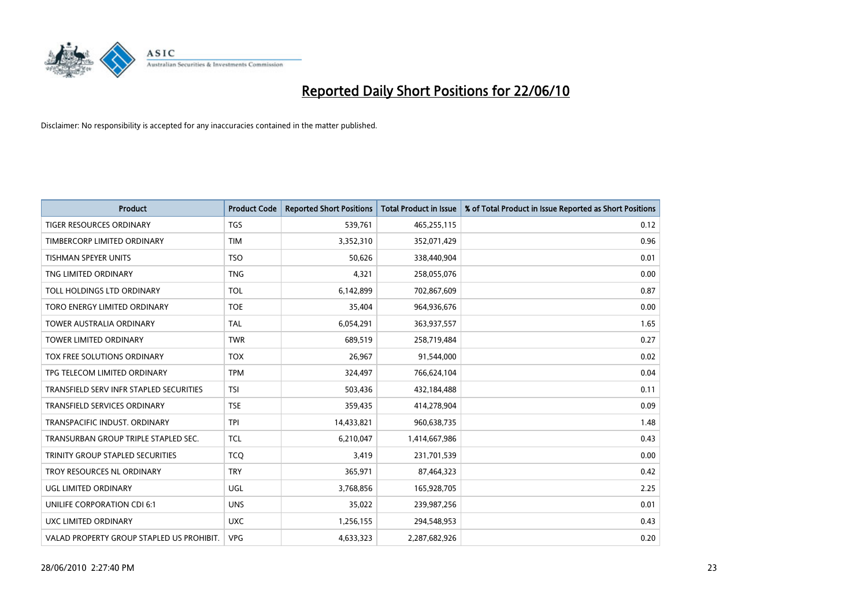

| <b>Product</b>                            | <b>Product Code</b> | <b>Reported Short Positions</b> | <b>Total Product in Issue</b> | % of Total Product in Issue Reported as Short Positions |
|-------------------------------------------|---------------------|---------------------------------|-------------------------------|---------------------------------------------------------|
| <b>TIGER RESOURCES ORDINARY</b>           | <b>TGS</b>          | 539,761                         | 465,255,115                   | 0.12                                                    |
| TIMBERCORP LIMITED ORDINARY               | <b>TIM</b>          | 3,352,310                       | 352,071,429                   | 0.96                                                    |
| <b>TISHMAN SPEYER UNITS</b>               | <b>TSO</b>          | 50,626                          | 338,440,904                   | 0.01                                                    |
| TNG LIMITED ORDINARY                      | <b>TNG</b>          | 4,321                           | 258,055,076                   | 0.00                                                    |
| TOLL HOLDINGS LTD ORDINARY                | <b>TOL</b>          | 6,142,899                       | 702,867,609                   | 0.87                                                    |
| TORO ENERGY LIMITED ORDINARY              | <b>TOE</b>          | 35,404                          | 964,936,676                   | 0.00                                                    |
| <b>TOWER AUSTRALIA ORDINARY</b>           | <b>TAL</b>          | 6,054,291                       | 363,937,557                   | 1.65                                                    |
| <b>TOWER LIMITED ORDINARY</b>             | <b>TWR</b>          | 689,519                         | 258,719,484                   | 0.27                                                    |
| TOX FREE SOLUTIONS ORDINARY               | <b>TOX</b>          | 26,967                          | 91,544,000                    | 0.02                                                    |
| TPG TELECOM LIMITED ORDINARY              | <b>TPM</b>          | 324,497                         | 766,624,104                   | 0.04                                                    |
| TRANSFIELD SERV INFR STAPLED SECURITIES   | <b>TSI</b>          | 503,436                         | 432,184,488                   | 0.11                                                    |
| <b>TRANSFIELD SERVICES ORDINARY</b>       | <b>TSE</b>          | 359,435                         | 414,278,904                   | 0.09                                                    |
| TRANSPACIFIC INDUST, ORDINARY             | <b>TPI</b>          | 14,433,821                      | 960,638,735                   | 1.48                                                    |
| TRANSURBAN GROUP TRIPLE STAPLED SEC.      | <b>TCL</b>          | 6,210,047                       | 1,414,667,986                 | 0.43                                                    |
| TRINITY GROUP STAPLED SECURITIES          | <b>TCQ</b>          | 3,419                           | 231,701,539                   | 0.00                                                    |
| TROY RESOURCES NL ORDINARY                | <b>TRY</b>          | 365,971                         | 87,464,323                    | 0.42                                                    |
| UGL LIMITED ORDINARY                      | UGL                 | 3,768,856                       | 165,928,705                   | 2.25                                                    |
| UNILIFE CORPORATION CDI 6:1               | <b>UNS</b>          | 35,022                          | 239,987,256                   | 0.01                                                    |
| UXC LIMITED ORDINARY                      | <b>UXC</b>          | 1,256,155                       | 294,548,953                   | 0.43                                                    |
| VALAD PROPERTY GROUP STAPLED US PROHIBIT. | <b>VPG</b>          | 4,633,323                       | 2,287,682,926                 | 0.20                                                    |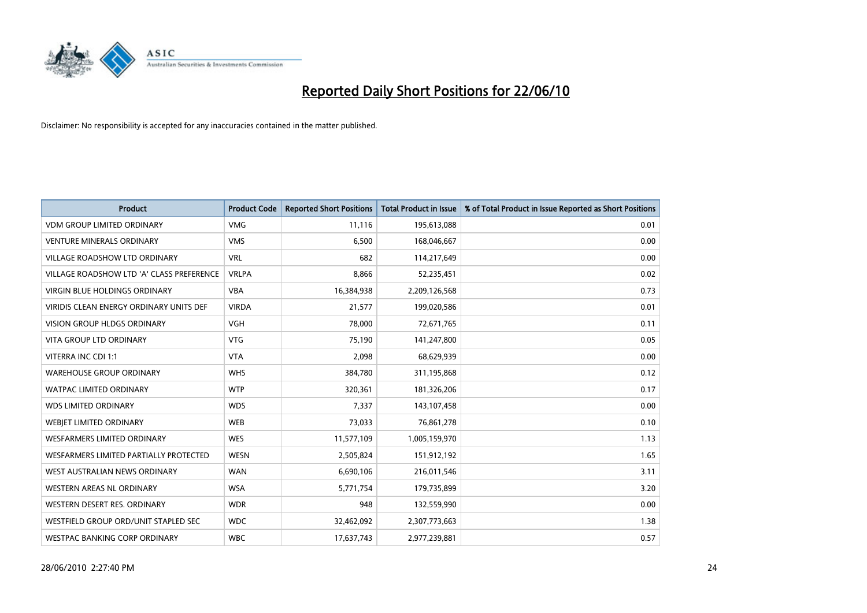

| <b>Product</b>                            | <b>Product Code</b> | <b>Reported Short Positions</b> | <b>Total Product in Issue</b> | % of Total Product in Issue Reported as Short Positions |
|-------------------------------------------|---------------------|---------------------------------|-------------------------------|---------------------------------------------------------|
| <b>VDM GROUP LIMITED ORDINARY</b>         | <b>VMG</b>          | 11,116                          | 195,613,088                   | 0.01                                                    |
| <b>VENTURE MINERALS ORDINARY</b>          | <b>VMS</b>          | 6,500                           | 168,046,667                   | 0.00                                                    |
| VILLAGE ROADSHOW LTD ORDINARY             | <b>VRL</b>          | 682                             | 114,217,649                   | 0.00                                                    |
| VILLAGE ROADSHOW LTD 'A' CLASS PREFERENCE | <b>VRLPA</b>        | 8,866                           | 52,235,451                    | 0.02                                                    |
| <b>VIRGIN BLUE HOLDINGS ORDINARY</b>      | <b>VBA</b>          | 16,384,938                      | 2,209,126,568                 | 0.73                                                    |
| VIRIDIS CLEAN ENERGY ORDINARY UNITS DEF   | <b>VIRDA</b>        | 21,577                          | 199,020,586                   | 0.01                                                    |
| <b>VISION GROUP HLDGS ORDINARY</b>        | <b>VGH</b>          | 78,000                          | 72,671,765                    | 0.11                                                    |
| <b>VITA GROUP LTD ORDINARY</b>            | <b>VTG</b>          | 75,190                          | 141,247,800                   | 0.05                                                    |
| VITERRA INC CDI 1:1                       | <b>VTA</b>          | 2,098                           | 68,629,939                    | 0.00                                                    |
| <b>WAREHOUSE GROUP ORDINARY</b>           | <b>WHS</b>          | 384,780                         | 311,195,868                   | 0.12                                                    |
| <b>WATPAC LIMITED ORDINARY</b>            | <b>WTP</b>          | 320,361                         | 181,326,206                   | 0.17                                                    |
| <b>WDS LIMITED ORDINARY</b>               | <b>WDS</b>          | 7.337                           | 143,107,458                   | 0.00                                                    |
| WEBJET LIMITED ORDINARY                   | <b>WEB</b>          | 73,033                          | 76,861,278                    | 0.10                                                    |
| <b>WESFARMERS LIMITED ORDINARY</b>        | <b>WES</b>          | 11,577,109                      | 1,005,159,970                 | 1.13                                                    |
| WESFARMERS LIMITED PARTIALLY PROTECTED    | <b>WESN</b>         | 2,505,824                       | 151,912,192                   | 1.65                                                    |
| WEST AUSTRALIAN NEWS ORDINARY             | <b>WAN</b>          | 6,690,106                       | 216,011,546                   | 3.11                                                    |
| <b>WESTERN AREAS NL ORDINARY</b>          | <b>WSA</b>          | 5,771,754                       | 179,735,899                   | 3.20                                                    |
| WESTERN DESERT RES. ORDINARY              | <b>WDR</b>          | 948                             | 132,559,990                   | 0.00                                                    |
| WESTFIELD GROUP ORD/UNIT STAPLED SEC      | <b>WDC</b>          | 32,462,092                      | 2,307,773,663                 | 1.38                                                    |
| WESTPAC BANKING CORP ORDINARY             | <b>WBC</b>          | 17,637,743                      | 2,977,239,881                 | 0.57                                                    |